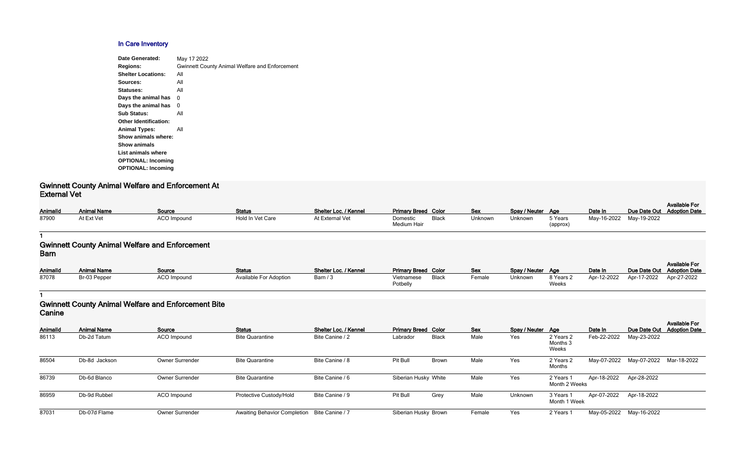### **In Care Inventory**

| Date Generated:              | May 17 2022                                           |
|------------------------------|-------------------------------------------------------|
| <b>Regions:</b>              | <b>Gwinnett County Animal Welfare and Enforcement</b> |
| <b>Shelter Locations:</b>    | All                                                   |
| Sources:                     | All                                                   |
| Statuses:                    | All                                                   |
| Days the animal has          | 0                                                     |
| Days the animal has          | 0                                                     |
| <b>Sub Status:</b>           | All                                                   |
| <b>Other Identification:</b> |                                                       |
| <b>Animal Types:</b>         | All                                                   |
| Show animals where:          |                                                       |
| <b>Show animals</b>          |                                                       |
| List animals where           |                                                       |
| <b>OPTIONAL: Incoming</b>    |                                                       |
| <b>OPTIONAL: Incoming</b>    |                                                       |
|                              |                                                       |

#### **Gwinnett County Animal Welfare and Enforcement At External Vet**

| Animalld | <b>Animal Name</b> | <u>Source</u>      | <b>Status</b>    | Shelter Loc. / Kennel | <b>Primary Breed Color</b> |       | <b>Sex</b> | Spay / Neuter Age |                     | Date In     | Due Date Out Adoption Date | <b>Available For</b> |
|----------|--------------------|--------------------|------------------|-----------------------|----------------------------|-------|------------|-------------------|---------------------|-------------|----------------------------|----------------------|
| 87900    | At Ext Vet         | <b>ACO Impound</b> | Hold In Vet Care | At External Vet       | Domestic<br>Medium Hair    | Black | Unknown    | Unknown           | 5 Years<br>(approx) | May-16-2022 | May-19-2022                |                      |

#### **1**

#### **Gwinnett County Animal Welfare and Enforcement Barn**

| <b>AnimalId</b> | <b>Animal Name</b> | Source      | <b>Status</b>                 | Shelter Loc. / Kennel | <b>Primary Breed Color</b> |              | <b>Sex</b> | Spay / Neuter Age |                    | Date In |                                     | <b>Available For</b><br>Due Date Out Adoption Date |
|-----------------|--------------------|-------------|-------------------------------|-----------------------|----------------------------|--------------|------------|-------------------|--------------------|---------|-------------------------------------|----------------------------------------------------|
| 87078           | Br-03 Pepper       | ACO Impound | <b>Available For Adoption</b> | Barn / 3              | Vietnamese<br>Potbelly     | <b>Black</b> | Female     | Unknown           | 8 Years 2<br>Weeks |         | Apr-12-2022 Apr-17-2022 Apr-27-2022 |                                                    |

#### **1**

### **Gwinnett County Animal Welfare and Enforcement Bite Canine**

| <b>Animalld</b> | <b>Animal Name</b> | Source                 | <b>Status</b>                                | Shelter Loc. / Kennel | <b>Primary Breed Color</b> |              | Sex    | Spay / Neuter Age |                                | Date In     | Due Date Out            | <b>Available For</b><br><b>Adoption Date</b> |
|-----------------|--------------------|------------------------|----------------------------------------------|-----------------------|----------------------------|--------------|--------|-------------------|--------------------------------|-------------|-------------------------|----------------------------------------------|
| 86113           | Db-2d Tatum        | ACO Impound            | <b>Bite Quarantine</b>                       | Bite Canine / 2       | Labrador                   | <b>Black</b> | Male   | Yes               | 2 Years 2<br>Months 3<br>Weeks | Feb-22-2022 | May-23-2022             |                                              |
| 86504           | Db-8d Jackson      | <b>Owner Surrender</b> | <b>Bite Quarantine</b>                       | Bite Canine / 8       | Pit Bull                   | <b>Brown</b> | Male   | Yes               | 2 Years 2<br>Months            |             | May-07-2022 May-07-2022 | Mar-18-2022                                  |
| 86739           | Db-6d Blanco       | Owner Surrender        | <b>Bite Quarantine</b>                       | Bite Canine / 6       | Siberian Husky White       |              | Male   | Yes               | 2 Years 1<br>Month 2 Weeks     | Apr-18-2022 | Apr-28-2022             |                                              |
| 86959           | Db-9d Rubbel       | ACO Impound            | Protective Custody/Hold                      | Bite Canine / 9       | Pit Bull                   | Grey         | Male   | Unknown           | 3 Years 1<br>Month 1 Week      | Apr-07-2022 | Apr-18-2022             |                                              |
| 87031           | Db-07d Flame       | <b>Owner Surrender</b> | Awaiting Behavior Completion Bite Canine / 7 |                       | Siberian Husky Brown       |              | Female | Yes               | 2 Years 1                      |             | May-05-2022 May-16-2022 |                                              |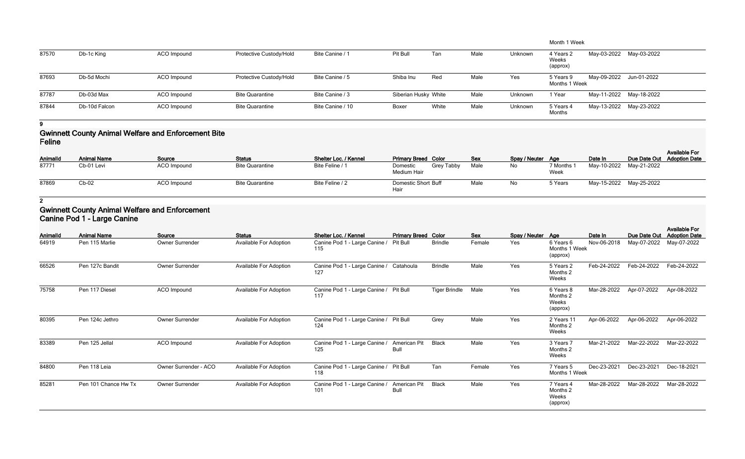|       |               |                    |                         |                  |                      |       |      |         | Month 1 Week                   |                         |                         |
|-------|---------------|--------------------|-------------------------|------------------|----------------------|-------|------|---------|--------------------------------|-------------------------|-------------------------|
| 87570 | Db-1c King    | ACO Impound        | Protective Custody/Hold | Bite Canine / 1  | Pit Bull             | Tan   | Male | Unknown | 4 Years 2<br>Weeks<br>(approx) |                         | May-03-2022 May-03-2022 |
| 87693 | Db-5d Mochi   | ACO Impound        | Protective Custody/Hold | Bite Canine / 5  | Shiba Inu            | Red   | Male | Yes     | 5 Years 9<br>Months 1 Week     | May-09-2022 Jun-01-2022 |                         |
| 87787 | Db-03d Max    | <b>ACO</b> Impound | <b>Bite Quarantine</b>  | Bite Canine / 3  | Siberian Husky White |       | Male | Unknown | 1 Year                         |                         | May-11-2022 May-18-2022 |
| 87844 | Db-10d Falcon | ACO Impound        | <b>Bite Quarantine</b>  | Bite Canine / 10 | Boxer                | White | Male | Unknown | 5 Years 4<br>Months            |                         | May-13-2022 May-23-2022 |

### **Gwinnett County Animal Welfare and Enforcement Bite Feline**

| <b>AnimalId</b> | <b>Animal Name</b> | Source             | <b>Status</b>          | Shelter Loc. / Kennel | <b>Primary Breed Color</b>            | Sex  | Spay / Neuter Age |                  | Date In                 | Due Date Out Adoption Date | <b>Available For</b> |
|-----------------|--------------------|--------------------|------------------------|-----------------------|---------------------------------------|------|-------------------|------------------|-------------------------|----------------------------|----------------------|
| 87771           | Cb-01 Levi         | <b>ACO</b> Impound | <b>Bite Quarantine</b> | Bite Feline / 1       | Grey Tabby<br>Domestic<br>Medium Hair | Male | No                | 7 Months<br>Week | May-10-2022 May-21-2022 |                            |                      |
| 87869           | Cb-02              | ACO Impound        | <b>Bite Quarantine</b> | Bite Feline / 2       | <b>Domestic Short Buff</b><br>Hair    | Male | No.               | 5 Years          | May-15-2022 May-25-2022 |                            |                      |

**2**

### **Gwinnett County Animal Welfare and Enforcement Canine Pod 1 - Large Canine**

| Animalld | <b>Animal Name</b>   | Source                 | <b>Status</b>                 | Shelter Loc. / Kennel                         | <b>Primary Breed Color</b> |                      | Sex    | Spay / Neuter Age |                                            | Date In     | Due Date Out | <b>Available For</b><br><b>Adoption Date</b> |
|----------|----------------------|------------------------|-------------------------------|-----------------------------------------------|----------------------------|----------------------|--------|-------------------|--------------------------------------------|-------------|--------------|----------------------------------------------|
| 64919    | Pen 115 Marlie       | Owner Surrender        | <b>Available For Adoption</b> | Canine Pod 1 - Large Canine /<br>115          | Pit Bull                   | <b>Brindle</b>       | Female | Yes               | 6 Years 6<br>Months 1 Week<br>(approx)     | Nov-06-2018 | May-07-2022  | May-07-2022                                  |
| 66526    | Pen 127c Bandit      | Owner Surrender        | <b>Available For Adoption</b> | Canine Pod 1 - Large Canine /<br>127          | Catahoula                  | <b>Brindle</b>       | Male   | Yes               | 5 Years 2<br>Months 2<br>Weeks             | Feb-24-2022 | Feb-24-2022  | Feb-24-2022                                  |
| 75758    | Pen 117 Diesel       | ACO Impound            | <b>Available For Adoption</b> | Canine Pod 1 - Large Canine / Pit Bull<br>117 |                            | <b>Tiger Brindle</b> | Male   | Yes               | 6 Years 8<br>Months 2<br>Weeks<br>(approx) | Mar-28-2022 | Apr-07-2022  | Apr-08-2022                                  |
| 80395    | Pen 124c Jethro      | <b>Owner Surrender</b> | <b>Available For Adoption</b> | Canine Pod 1 - Large Canine / Pit Bull<br>124 |                            | Grey                 | Male   | Yes               | 2 Years 1<br>Months 2<br>Weeks             | Apr-06-2022 | Apr-06-2022  | Apr-06-2022                                  |
| 83389    | Pen 125 Jellal       | ACO Impound            | <b>Available For Adoption</b> | Canine Pod 1 - Large Canine /<br>125          | American Pit<br>Bull       | <b>Black</b>         | Male   | Yes               | 3 Years 7<br>Months 2<br>Weeks             | Mar-21-2022 | Mar-22-2022  | Mar-22-2022                                  |
| 84800    | Pen 118 Leia         | Owner Surrender - ACO  | <b>Available For Adoption</b> | Canine Pod 1 - Large Canine / Pit Bull<br>118 |                            | Tan                  | Female | Yes               | 7 Years 5<br>Months 1 Week                 | Dec-23-2021 | Dec-23-2021  | Dec-18-2021                                  |
| 85281    | Pen 101 Chance Hw Tx | <b>Owner Surrender</b> | Available For Adoption        | Canine Pod 1 - Large Canine /<br>101          | American Pit<br>Bull       | <b>Black</b>         | Male   | Yes               | 7 Years 4<br>Months 2<br>Weeks<br>(approx) | Mar-28-2022 | Mar-28-2022  | Mar-28-2022                                  |
|          |                      |                        |                               |                                               |                            |                      |        |                   |                                            |             |              |                                              |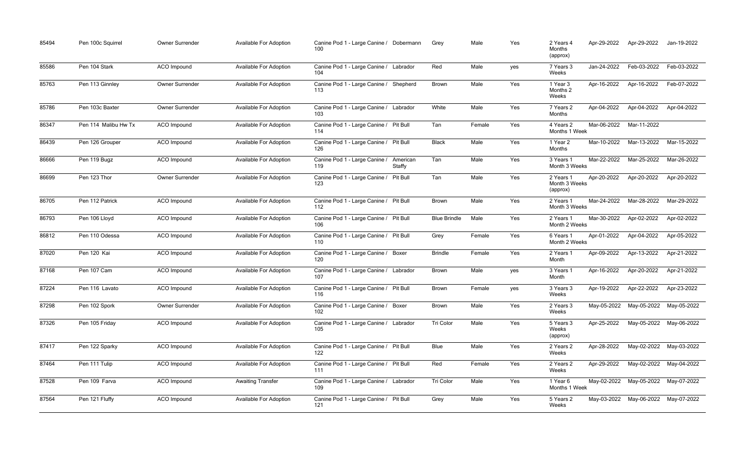| 85494 | Pen 100c Squirrel    | Owner Surrender    | Available For Adoption        | Canine Pod 1 - Large Canine / Dobermann<br>100 |                           | Grey                | Male   | Yes | 2 Years 4<br>Months<br>(approx)        | Apr-29-2022 | Apr-29-2022                         | Jan-19-2022             |
|-------|----------------------|--------------------|-------------------------------|------------------------------------------------|---------------------------|---------------------|--------|-----|----------------------------------------|-------------|-------------------------------------|-------------------------|
| 85586 | Pen 104 Stark        | ACO Impound        | Available For Adoption        | Canine Pod 1 - Large Canine / Labrador<br>104  |                           | Red                 | Male   | yes | 7 Years 3<br>Weeks                     | Jan-24-2022 | Feb-03-2022                         | Feb-03-2022             |
| 85763 | Pen 113 Ginnley      | Owner Surrender    | <b>Available For Adoption</b> | Canine Pod 1 - Large Canine / Shepherd<br>113  |                           | <b>Brown</b>        | Male   | Yes | 1 Year 3<br>Months 2<br>Weeks          | Apr-16-2022 | Apr-16-2022                         | Feb-07-2022             |
| 85786 | Pen 103c Baxter      | Owner Surrender    | <b>Available For Adoption</b> | Canine Pod 1 - Large Canine / Labrador<br>103  |                           | White               | Male   | Yes | 7 Years 2<br>Months                    | Apr-04-2022 | Apr-04-2022                         | Apr-04-2022             |
| 86347 | Pen 114 Malibu Hw Tx | ACO Impound        | Available For Adoption        | Canine Pod 1 - Large Canine / Pit Bull<br>114  |                           | Tan                 | Female | Yes | 4 Years 2<br>Months 1 Week             | Mar-06-2022 | Mar-11-2022                         |                         |
| 86439 | Pen 126 Grouper      | <b>ACO</b> Impound | <b>Available For Adoption</b> | Canine Pod 1 - Large Canine / Pit Bull<br>126  |                           | <b>Black</b>        | Male   | Yes | 1 Year 2<br>Months                     | Mar-10-2022 | Mar-13-2022                         | Mar-15-2022             |
| 86666 | Pen 119 Bugz         | ACO Impound        | <b>Available For Adoption</b> | Canine Pod 1 - Large Canine /<br>119           | American<br><b>Staffy</b> | Tan                 | Male   | Yes | 3 Years 1<br>Month 3 Weeks             | Mar-22-2022 | Mar-25-2022                         | Mar-26-2022             |
| 86699 | Pen 123 Thor         | Owner Surrender    | <b>Available For Adoption</b> | Canine Pod 1 - Large Canine /<br>123           | <b>Pit Bull</b>           | Tan                 | Male   | Yes | 2 Years 1<br>Month 3 Weeks<br>(approx) | Apr-20-2022 | Apr-20-2022                         | Apr-20-2022             |
| 86705 | Pen 112 Patrick      | ACO Impound        | Available For Adoption        | Canine Pod 1 - Large Canine / Pit Bull<br>112  |                           | <b>Brown</b>        | Male   | Yes | 2 Years 1<br>Month 3 Weeks             | Mar-24-2022 | Mar-28-2022                         | Mar-29-2022             |
| 86793 | Pen 106 Lloyd        | ACO Impound        | Available For Adoption        | Canine Pod 1 - Large Canine / Pit Bull<br>106  |                           | <b>Blue Brindle</b> | Male   | Yes | 2 Years 1<br>Month 2 Weeks             | Mar-30-2022 | Apr-02-2022                         | Apr-02-2022             |
| 86812 | Pen 110 Odessa       | ACO Impound        | <b>Available For Adoption</b> | Canine Pod 1 - Large Canine / Pit Bull<br>110  |                           | Grey                | Female | Yes | 6 Years 1<br>Month 2 Weeks             | Apr-01-2022 | Apr-04-2022                         | Apr-05-2022             |
| 87020 | Pen 120 Kai          | ACO Impound        | Available For Adoption        | Canine Pod 1 - Large Canine / Boxer<br>120     |                           | <b>Brindle</b>      | Female | Yes | 2 Years 1<br>Month                     | Apr-09-2022 | Apr-13-2022                         | Apr-21-2022             |
| 87168 | Pen 107 Cam          | ACO Impound        | Available For Adoption        | Canine Pod 1 - Large Canine / Labrador<br>107  |                           | <b>Brown</b>        | Male   | yes | 3 Years 1<br>Month                     | Apr-16-2022 | Apr-20-2022                         | Apr-21-2022             |
| 87224 | Pen 116 Lavato       | ACO Impound        | <b>Available For Adoption</b> | Canine Pod 1 - Large Canine / Pit Bull<br>116  |                           | <b>Brown</b>        | Female | yes | 3 Years 3<br>Weeks                     | Apr-19-2022 | Apr-22-2022                         | Apr-23-2022             |
| 87298 | Pen 102 Spork        | Owner Surrender    | <b>Available For Adoption</b> | Canine Pod 1 - Large Canine / Boxer<br>102     |                           | <b>Brown</b>        | Male   | Yes | 2 Years 3<br>Weeks                     |             | May-05-2022 May-05-2022             | May-05-2022             |
| 87326 | Pen 105 Friday       | ACO Impound        | <b>Available For Adoption</b> | Canine Pod 1 - Large Canine / Labrador<br>105  |                           | Tri Color           | Male   | Yes | 5 Years 3<br>Weeks<br>(approx)         | Apr-25-2022 |                                     | May-05-2022 May-06-2022 |
| 87417 | Pen 122 Sparky       | ACO Impound        | <b>Available For Adoption</b> | Canine Pod 1 - Large Canine / Pit Bull<br>122  |                           | Blue                | Male   | Yes | 2 Years 2<br>Weeks                     | Apr-28-2022 | May-02-2022                         | May-03-2022             |
| 87464 | Pen 111 Tulip        | ACO Impound        | <b>Available For Adoption</b> | Canine Pod 1 - Large Canine / Pit Bull<br>111  |                           | Red                 | Female | Yes | 2 Years 2<br>Weeks                     | Apr-29-2022 | May-02-2022                         | May-04-2022             |
| 87528 | Pen 109 Farva        | ACO Impound        | <b>Awaiting Transfer</b>      | Canine Pod 1 - Large Canine / Labrador<br>109  |                           | Tri Color           | Male   | Yes | 1 Year 6<br>Months 1 Week              |             | May-02-2022 May-05-2022 May-07-2022 |                         |
| 87564 | Pen 121 Fluffy       | ACO Impound        | <b>Available For Adoption</b> | Canine Pod 1 - Large Canine / Pit Bull<br>121  |                           | Grey                | Male   | Yes | 5 Years 2<br>Weeks                     | May-03-2022 | May-06-2022 May-07-2022             |                         |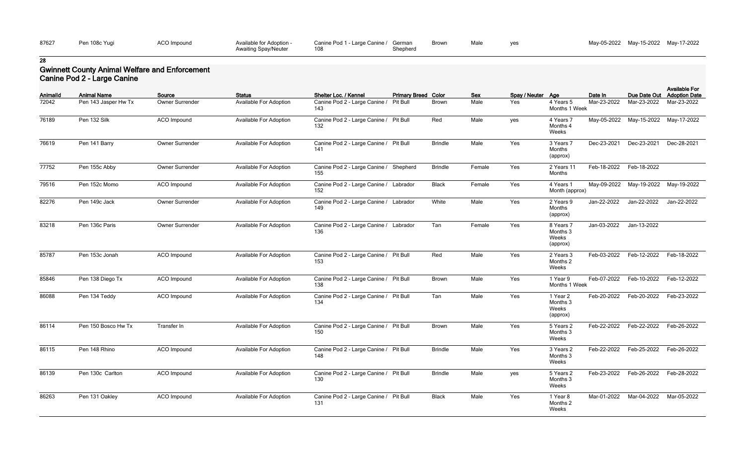| 87627 | Pen 108c Yugi | Impound | Available for Adoption -    | Canine Pod 1<br>Large Canine / | German   | <b>Brown</b> | Male |
|-------|---------------|---------|-----------------------------|--------------------------------|----------|--------------|------|
|       |               |         | <b>Awaiting Spay/Neuter</b> | 108                            | Shephera |              |      |

# **Gwinnett County Animal Welfare and Enforcement Canine Pod 2 - Large Canine**

|                 | Carille Fou Z - Large Carille |                        |                               |                                                |                            |                |        |                   |                                            |             |                                           |                                              |
|-----------------|-------------------------------|------------------------|-------------------------------|------------------------------------------------|----------------------------|----------------|--------|-------------------|--------------------------------------------|-------------|-------------------------------------------|----------------------------------------------|
| <b>AnimalId</b> | <b>Animal Name</b>            | Source                 | <b>Status</b>                 | Shelter Loc. / Kennel                          | <b>Primary Breed Color</b> |                | Sex    | Spay / Neuter Age |                                            | Date In     | Due Date Out                              | <b>Available For</b><br><b>Adoption Date</b> |
| 72042           | Pen 143 Jasper Hw Tx          | Owner Surrender        | <b>Available For Adoption</b> | Canine Pod 2 - Large Canine /<br>143           | Pit Bull                   | <b>Brown</b>   | Male   | Yes               | 4 Years 5<br>Months 1 Week                 | Mar-23-2022 | Mar-23-2022                               | Mar-23-2022                                  |
| 76189           | Pen 132 Silk                  | ACO Impound            | <b>Available For Adoption</b> | Canine Pod 2 - Large Canine / Pit Bull<br>132  |                            | Red            | Male   | yes               | 4 Years 7<br>Months 4<br>Weeks             | May-05-2022 | May-15-2022                               | May-17-2022                                  |
| 76619           | Pen 141 Barry                 | Owner Surrender        | <b>Available For Adoption</b> | Canine Pod 2 - Large Canine / Pit Bull<br>141  |                            | <b>Brindle</b> | Male   | Yes               | 3 Years 7<br>Months<br>(approx)            | Dec-23-2021 | Dec-23-2021                               | Dec-28-2021                                  |
| 77752           | Pen 155c Abby                 | Owner Surrender        | <b>Available For Adoption</b> | Canine Pod 2 - Large Canine / Shepherd<br>155  |                            | <b>Brindle</b> | Female | Yes               | 2 Years 11<br>Months                       | Feb-18-2022 | Feb-18-2022                               |                                              |
| 79516           | Pen 152c Momo                 | ACO Impound            | <b>Available For Adoption</b> | Canine Pod 2 - Large Canine / Labrador<br>152  |                            | <b>Black</b>   | Female | Yes               | 4 Years 1<br>Month (approx)                | May-09-2022 | May-19-2022                               | May-19-2022                                  |
| 82276           | Pen 149c Jack                 | Owner Surrender        | <b>Available For Adoption</b> | Canine Pod 2 - Large Canine / Labrador<br>149  |                            | White          | Male   | Yes               | 2 Years 9<br>Months<br>(approx)            | Jan-22-2022 | Jan-22-2022                               | Jan-22-2022                                  |
| 83218           | Pen 136c Paris                | <b>Owner Surrender</b> | <b>Available For Adoption</b> | Canine Pod 2 - Large Canine / Labrador<br>136  |                            | Tan            | Female | Yes               | 8 Years 7<br>Months 3<br>Weeks<br>(approx) | Jan-03-2022 | Jan-13-2022                               |                                              |
| 85787           | Pen 153c Jonah                | ACO Impound            | <b>Available For Adoption</b> | Canine Pod 2 - Large Canine / Pit Bull<br>153  |                            | Red            | Male   | Yes               | 2 Years 3<br>Months 2<br>Weeks             | Feb-03-2022 | Feb-12-2022                               | Feb-18-2022                                  |
| 85846           | Pen 138 Diego Tx              | ACO Impound            | <b>Available For Adoption</b> | Canine Pod 2 - Large Canine / Pit Bull<br>138  |                            | Brown          | Male   | Yes               | 1 Year 9<br>Months 1 Week                  | Feb-07-2022 | Feb-10-2022                               | Feb-12-2022                                  |
| 86088           | Pen 134 Teddy                 | ACO Impound            | <b>Available For Adoption</b> | Canine Pod 2 - Large Canine / Pit Bull<br>134  |                            | Tan            | Male   | Yes               | 1 Year 2<br>Months 3<br>Weeks<br>(approx)  | Feb-20-2022 | Feb-20-2022                               | Feb-23-2022                                  |
| 86114           | Pen 150 Bosco Hw Tx           | Transfer In            | Available For Adoption        | Canine Pod 2 - Large Canine / Pit Bull<br>150  |                            | <b>Brown</b>   | Male   | Yes               | 5 Years 2<br>Months 3<br>Weeks             |             | Feb-22-2022    Feb-22-2022    Feb-26-2022 |                                              |
| 86115           | Pen 148 Rhino                 | ACO Impound            | <b>Available For Adoption</b> | Canine Pod 2 - Large Canine / Pit Bull<br>148  |                            | <b>Brindle</b> | Male   | Yes               | 3 Years 2<br>Months 3<br>Weeks             |             | Feb-22-2022    Feb-25-2022    Feb-26-2022 |                                              |
| 86139           | Pen 130c Carlton              | ACO Impound            | <b>Available For Adoption</b> | Canine Pod 2 - Large Canine / Pit Bull<br>130  |                            | <b>Brindle</b> | Male   | yes               | 5 Years 2<br>Months 3<br>Weeks             | Feb-23-2022 | Feb-26-2022                               | Feb-28-2022                                  |
| 86263           | Pen 131 Oakley                | ACO Impound            | <b>Available For Adoption</b> | Canine Pod 2 - Large Canine / Pit Bull<br>-131 |                            | <b>Black</b>   | Male   | Yes               | 1 Year 8<br>Months 2<br>Weeks              | Mar-01-2022 | Mar-04-2022                               | Mar-05-2022                                  |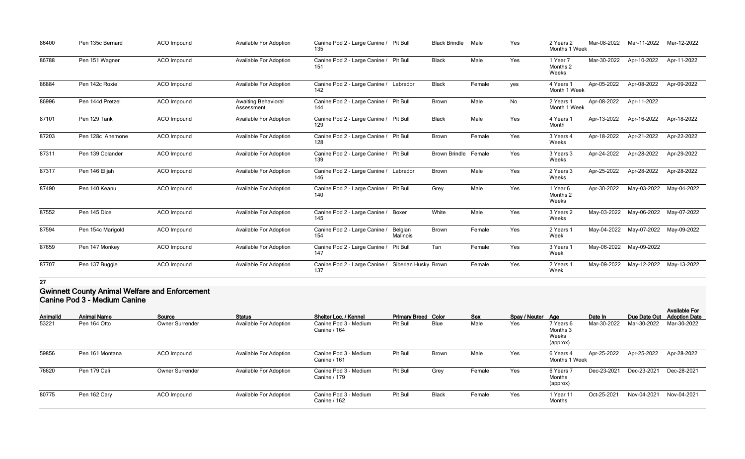| 86400 | Pen 135c Bernard  | ACO Impound        | <b>Available For Adoption</b>            | Canine Pod 2 - Large Canine / Pit Bull<br>135 |                      | <b>Black Brindle</b> | Male   | Yes | 2 Years 2<br>Months 1 Week    | Mar-08-2022 | Mar-11-2022             | Mar-12-2022 |
|-------|-------------------|--------------------|------------------------------------------|-----------------------------------------------|----------------------|----------------------|--------|-----|-------------------------------|-------------|-------------------------|-------------|
| 86788 | Pen 151 Wagner    | <b>ACO</b> Impound | <b>Available For Adoption</b>            | Canine Pod 2 - Large Canine /<br>151          | Pit Bull             | <b>Black</b>         | Male   | Yes | 1 Year 7<br>Months 2<br>Weeks | Mar-30-2022 | Apr-10-2022             | Apr-11-2022 |
| 86884 | Pen 142c Roxie    | ACO Impound        | <b>Available For Adoption</b>            | Canine Pod 2 - Large Canine / Labrador<br>142 |                      | <b>Black</b>         | Female | yes | 4 Years 1<br>Month 1 Week     | Apr-05-2022 | Apr-08-2022             | Apr-09-2022 |
| 86996 | Pen 144d Pretzel  | ACO Impound        | <b>Awaiting Behavioral</b><br>Assessment | Canine Pod 2 - Large Canine / Pit Bull<br>144 |                      | <b>Brown</b>         | Male   | No  | 2 Years 1<br>Month 1 Week     | Apr-08-2022 | Apr-11-2022             |             |
| 87101 | Pen 129 Tank      | ACO Impound        | <b>Available For Adoption</b>            | Canine Pod 2 - Large Canine / Pit Bull<br>129 |                      | <b>Black</b>         | Male   | Yes | 4 Years 1<br>Month            | Apr-13-2022 | Apr-16-2022             | Apr-18-2022 |
| 87203 | Pen 128c Anemone  | ACO Impound        | <b>Available For Adoption</b>            | Canine Pod 2 - Large Canine / Pit Bull<br>128 |                      | <b>Brown</b>         | Female | Yes | 3 Years 4<br>Weeks            | Apr-18-2022 | Apr-21-2022             | Apr-22-2022 |
| 87311 | Pen 139 Colander  | ACO Impound        | <b>Available For Adoption</b>            | Canine Pod 2 - Large Canine / Pit Bull<br>139 |                      | <b>Brown Brindle</b> | Female | Yes | 3 Years 3<br>Weeks            | Apr-24-2022 | Apr-28-2022             | Apr-29-2022 |
| 87317 | Pen 146 Elijah    | ACO Impound        | <b>Available For Adoption</b>            | Canine Pod 2 - Large Canine / Labrador<br>146 |                      | <b>Brown</b>         | Male   | Yes | 2 Years 3<br>Weeks            | Apr-25-2022 | Apr-28-2022             | Apr-28-2022 |
| 87490 | Pen 140 Keanu     | <b>ACO</b> Impound | <b>Available For Adoption</b>            | Canine Pod 2 - Large Canine / Pit Bull<br>140 |                      | Grey                 | Male   | Yes | 1 Year 6<br>Months 2<br>Weeks | Apr-30-2022 | May-03-2022             | May-04-2022 |
| 87552 | Pen 145 Dice      | <b>ACO</b> Impound | <b>Available For Adoption</b>            | Canine Pod 2 - Large Canine /<br>145          | Boxer                | White                | Male   | Yes | 3 Years 2<br>Weeks            | May-03-2022 | May-06-2022             | May-07-2022 |
| 87594 | Pen 154c Marigold | <b>ACO</b> Impound | <b>Available For Adoption</b>            | Canine Pod 2 - Large Canine /<br>154          | Belgian<br>Malinois  | <b>Brown</b>         | Female | Yes | 2 Years 1<br>Week             | May-04-2022 | May-07-2022             | May-09-2022 |
| 87659 | Pen 147 Monkey    | ACO Impound        | <b>Available For Adoption</b>            | Canine Pod 2 - Large Canine /<br>147          | Pit Bull             | Tan                  | Female | Yes | 3 Years 1<br>Week             |             | May-06-2022 May-09-2022 |             |
| 87707 | Pen 137 Buggie    | <b>ACO</b> Impound | <b>Available For Adoption</b>            | Canine Pod 2 - Large Canine /<br>137          | Siberian Husky Brown |                      | Female | Yes | 2 Years 1<br>Week             | May-09-2022 | May-12-2022             | May-13-2022 |

### **Gwinnett County Animal Welfare and Enforcement Canine Pod 3 - Medium Canine**

| Animalld | <b>Animal Name</b> | Source                 | <b>Status</b>                 | Shelter Loc. / Kennel                 | <b>Primary Breed Color</b> |              | <b>Sex</b> | Spay / Neuter Age |                                            | Date In     | Due Date Out | <b>Available For</b><br><b>Adoption Date</b> |
|----------|--------------------|------------------------|-------------------------------|---------------------------------------|----------------------------|--------------|------------|-------------------|--------------------------------------------|-------------|--------------|----------------------------------------------|
| 53221    | Pen 164 Otto       | <b>Owner Surrender</b> | <b>Available For Adoption</b> | Canine Pod 3 - Medium<br>Canine / 164 | Pit Bull                   | <b>Blue</b>  | Male       | Yes               | 7 Years 6<br>Months 3<br>Weeks<br>(approx) | Mar-30-2022 | Mar-30-2022  | Mar-30-2022                                  |
| 59856    | Pen 161 Montana    | ACO Impound            | <b>Available For Adoption</b> | Canine Pod 3 - Medium<br>Canine / 161 | Pit Bull                   | <b>Brown</b> | Male       | Yes               | 6 Years 4<br>Months 1 Week                 | Apr-25-2022 | Apr-25-2022  | Apr-28-2022                                  |
| 76620    | Pen 179 Cali       | <b>Owner Surrender</b> | <b>Available For Adoption</b> | Canine Pod 3 - Medium<br>Canine / 179 | Pit Bull                   | Grey         | Female     | Yes               | 6 Years 7<br>Months<br>(approx)            | Dec-23-2021 | Dec-23-2021  | Dec-28-2021                                  |
| 80775    | Pen 162 Cary       | ACO Impound            | <b>Available For Adoption</b> | Canine Pod 3 - Medium<br>Canine / 162 | Pit Bull                   | <b>Black</b> | Female     | Yes               | 1 Year 11<br>Months                        | Oct-25-2021 | Nov-04-2021  | Nov-04-2021                                  |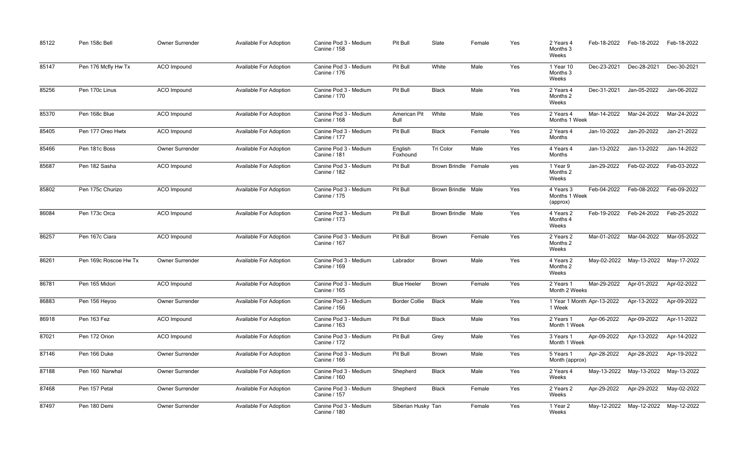| 85122 | Pen 158c Bell         | Owner Surrender        | <b>Available For Adoption</b> | Canine Pod 3 - Medium<br><b>Canine / 158</b> | Pit Bull             | Slate                     | Female | Yes | 2 Years 4<br>Months 3<br>Weeks         | Feb-18-2022 | Feb-18-2022                         | Feb-18-2022 |
|-------|-----------------------|------------------------|-------------------------------|----------------------------------------------|----------------------|---------------------------|--------|-----|----------------------------------------|-------------|-------------------------------------|-------------|
| 85147 | Pen 176 Mcfly Hw Tx   | <b>ACO</b> Impound     | <b>Available For Adoption</b> | Canine Pod 3 - Medium<br>Canine / 176        | Pit Bull             | White                     | Male   | Yes | 1 Year 10<br>Months 3<br>Weeks         | Dec-23-2021 | Dec-28-2021                         | Dec-30-2021 |
| 85256 | Pen 170c Linus        | <b>ACO</b> Impound     | Available For Adoption        | Canine Pod 3 - Medium<br><b>Canine / 170</b> | Pit Bull             | <b>Black</b>              | Male   | Yes | 2 Years 4<br>Months 2<br>Weeks         | Dec-31-2021 | Jan-05-2022                         | Jan-06-2022 |
| 85370 | Pen 168c Blue         | <b>ACO</b> Impound     | <b>Available For Adoption</b> | Canine Pod 3 - Medium<br><b>Canine / 168</b> | American Pit<br>Bull | White                     | Male   | Yes | 2 Years 4<br>Months 1 Week             | Mar-14-2022 | Mar-24-2022                         | Mar-24-2022 |
| 85405 | Pen 177 Oreo Hwtx     | ACO Impound            | Available For Adoption        | Canine Pod 3 - Medium<br>Canine / 177        | Pit Bull             | <b>Black</b>              | Female | Yes | 2 Years 4<br>Months                    | Jan-10-2022 | Jan-20-2022                         | Jan-21-2022 |
| 85466 | Pen 181c Boss         | <b>Owner Surrender</b> | Available For Adoption        | Canine Pod 3 - Medium<br><b>Canine / 181</b> | English<br>Foxhound  | <b>Tri Color</b>          | Male   | Yes | 4 Years 4<br>Months                    | Jan-13-2022 | Jan-13-2022                         | Jan-14-2022 |
| 85687 | Pen 182 Sasha         | <b>ACO</b> Impound     | <b>Available For Adoption</b> | Canine Pod 3 - Medium<br><b>Canine / 182</b> | Pit Bull             | Brown Brindle Female      |        | yes | 1 Year 9<br>Months 2<br>Weeks          | Jan-29-2022 | Feb-02-2022                         | Feb-03-2022 |
| 85802 | Pen 175c Churizo      | <b>ACO</b> Impound     | Available For Adoption        | Canine Pod 3 - Medium<br>Canine / 175        | Pit Bull             | <b>Brown Brindle Male</b> |        | Yes | 4 Years 3<br>Months 1 Week<br>(approx) | Feb-04-2022 | Feb-08-2022                         | Feb-09-2022 |
| 86084 | Pen 173c Orca         | <b>ACO</b> Impound     | <b>Available For Adoption</b> | Canine Pod 3 - Medium<br>Canine / 173        | Pit Bull             | <b>Brown Brindle Male</b> |        | Yes | 4 Years 2<br>Months 4<br>Weeks         | Feb-19-2022 | Feb-24-2022                         | Feb-25-2022 |
| 86257 | Pen 167c Ciara        | <b>ACO</b> Impound     | Available For Adoption        | Canine Pod 3 - Medium<br><b>Canine / 167</b> | Pit Bull             | <b>Brown</b>              | Female | Yes | 2 Years 2<br>Months 2<br>Weeks         | Mar-01-2022 | Mar-04-2022                         | Mar-05-2022 |
| 86261 | Pen 169c Roscoe Hw Tx | <b>Owner Surrender</b> | <b>Available For Adoption</b> | Canine Pod 3 - Medium<br>Canine / 169        | Labrador             | <b>Brown</b>              | Male   | Yes | 4 Years 2<br>Months 2<br>Weeks         |             | May-02-2022 May-13-2022             | May-17-2022 |
| 86781 | Pen 165 Midori        | ACO Impound            | <b>Available For Adoption</b> | Canine Pod 3 - Medium<br>Canine / 165        | <b>Blue Heeler</b>   | <b>Brown</b>              | Female | Yes | 2 Years 1<br>Month 2 Weeks             | Mar-29-2022 | Apr-01-2022                         | Apr-02-2022 |
| 86883 | Pen 156 Heyoo         | Owner Surrender        | <b>Available For Adoption</b> | Canine Pod 3 - Medium<br>Canine / 156        | <b>Border Collie</b> | <b>Black</b>              | Male   | Yes | 1 Year 1 Month Apr-13-2022<br>1 Week   |             | Apr-13-2022                         | Apr-09-2022 |
| 86918 | Pen 163 Fez           | ACO Impound            | <b>Available For Adoption</b> | Canine Pod 3 - Medium<br>Canine / 163        | Pit Bull             | <b>Black</b>              | Male   | Yes | 2 Years 1<br>Month 1 Week              | Apr-06-2022 | Apr-09-2022                         | Apr-11-2022 |
| 87021 | Pen 172 Orion         | ACO Impound            | <b>Available For Adoption</b> | Canine Pod 3 - Medium<br>Canine / 172        | Pit Bull             | Grey                      | Male   | Yes | 3 Years 1<br>Month 1 Week              | Apr-09-2022 | Apr-13-2022                         | Apr-14-2022 |
| 87146 | Pen 166 Duke          | Owner Surrender        | <b>Available For Adoption</b> | Canine Pod 3 - Medium<br>Canine / 166        | Pit Bull             | <b>Brown</b>              | Male   | Yes | 5 Years 1<br>Month (approx)            | Apr-28-2022 | Apr-28-2022                         | Apr-19-2022 |
| 87188 | Pen 160 Narwhal       | Owner Surrender        | <b>Available For Adoption</b> | Canine Pod 3 - Medium<br><b>Canine / 160</b> | Shepherd             | <b>Black</b>              | Male   | Yes | 2 Years 4<br>Weeks                     |             | May-13-2022 May-13-2022 May-13-2022 |             |
| 87468 | Pen 157 Petal         | <b>Owner Surrender</b> | <b>Available For Adoption</b> | Canine Pod 3 - Medium<br>Canine / 157        | Shepherd             | <b>Black</b>              | Female | Yes | 2 Years 2<br>Weeks                     | Apr-29-2022 | Apr-29-2022                         | May-02-2022 |
| 87497 | Pen 180 Demi          | Owner Surrender        | <b>Available For Adoption</b> | Canine Pod 3 - Medium<br>Canine / 180        | Siberian Husky Tan   |                           | Female | Yes | 1 Year 2<br>Weeks                      |             | May-12-2022 May-12-2022 May-12-2022 |             |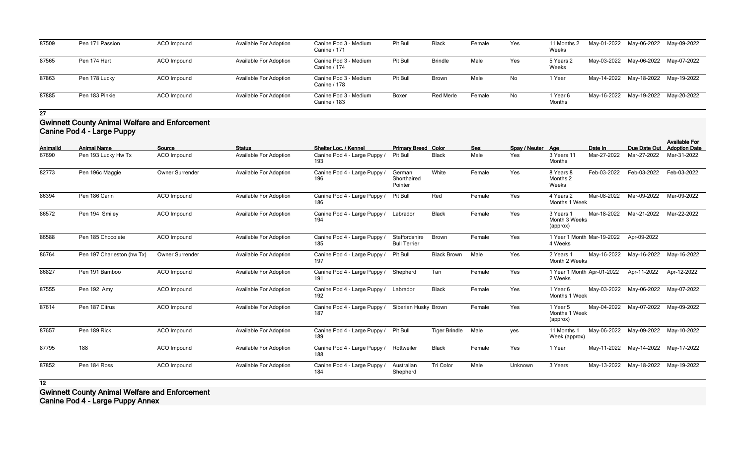| 87509 | Pen 171 Passion | ACO Impound | <b>Available For Adoption</b> | Canine Pod 3 - Medium<br>Canine / 171 | Pit Bull | Black            | Female | Yes | 11 Months 2<br>Weeks | May-01-2022 May-06-2022 | May-09-2022 |
|-------|-----------------|-------------|-------------------------------|---------------------------------------|----------|------------------|--------|-----|----------------------|-------------------------|-------------|
| 87565 | Pen 174 Hart    | ACO Impound | <b>Available For Adoption</b> | Canine Pod 3 - Medium<br>Canine / 174 | Pit Bull | <b>Brindle</b>   | Male   | Yes | 5 Years 2<br>Weeks   | May-03-2022 May-06-2022 | May-07-2022 |
| 87863 | Pen 178 Lucky   | ACO Impound | <b>Available For Adoption</b> | Canine Pod 3 - Medium<br>Canine / 178 | Pit Bull | <b>Brown</b>     | Male   | No  | Year                 | May-14-2022 May-18-2022 | May-19-2022 |
| 87885 | Pen 183 Pinkie  | ACO Impound | <b>Available For Adoption</b> | Canine Pod 3 - Medium<br>Canine / 183 | Boxer    | <b>Red Merle</b> | Female | No  | Year 6<br>Months     | May-16-2022 May-19-2022 | May-20-2022 |

### **Gwinnett County Animal Welfare and Enforcement Canine Pod 4 - Large Puppy**

| Animalld | <b>Animal Name</b>         | Source             | <b>Status</b>                 | Shelter Loc. / Kennel               | <b>Primary Breed Color</b>           |                      | <b>Sex</b> | Spay / Neuter Age |                                        | Date In     | Due Date Out                        | <b>Available For</b><br><b>Adoption Date</b> |
|----------|----------------------------|--------------------|-------------------------------|-------------------------------------|--------------------------------------|----------------------|------------|-------------------|----------------------------------------|-------------|-------------------------------------|----------------------------------------------|
| 67690    | Pen 193 Lucky Hw Tx        | <b>ACO</b> Impound | <b>Available For Adoption</b> | Canine Pod 4 - Large Puppy /<br>193 | Pit Bull                             | <b>Black</b>         | Male       | Yes               | 3 Years 11<br>Months                   | Mar-27-2022 | Mar-27-2022                         | Mar-31-2022                                  |
| 82773    | Pen 196c Maggie            | Owner Surrender    | <b>Available For Adoption</b> | Canine Pod 4 - Large Puppy /<br>196 | German<br>Shorthaired<br>Pointer     | White                | Female     | Yes               | 8 Years 8<br>Months 2<br>Weeks         | Feb-03-2022 | Feb-03-2022                         | Feb-03-2022                                  |
| 86394    | Pen 186 Carin              | <b>ACO</b> Impound | <b>Available For Adoption</b> | Canine Pod 4 - Large Puppy /<br>186 | Pit Bull                             | Red                  | Female     | Yes               | 4 Years 2<br>Months 1 Week             | Mar-08-2022 | Mar-09-2022                         | Mar-09-2022                                  |
| 86572    | Pen 194 Smiley             | <b>ACO</b> Impound | <b>Available For Adoption</b> | Canine Pod 4 - Large Puppy /<br>194 | Labrador                             | <b>Black</b>         | Female     | Yes               | 3 Years 1<br>Month 3 Weeks<br>(approx) | Mar-18-2022 | Mar-21-2022                         | Mar-22-2022                                  |
| 86588    | Pen 185 Chocolate          | <b>ACO</b> Impound | <b>Available For Adoption</b> | Canine Pod 4 - Large Puppy /<br>185 | Staffordshire<br><b>Bull Terrier</b> | Brown                | Female     | Yes               | 1 Year 1 Month Mar-19-2022<br>4 Weeks  |             | Apr-09-2022                         |                                              |
| 86764    | Pen 197 Charleston (hw Tx) | Owner Surrender    | <b>Available For Adoption</b> | Canine Pod 4 - Large Puppy /<br>197 | Pit Bull                             | <b>Black Brown</b>   | Male       | Yes               | 2 Years 1<br>Month 2 Weeks             | May-16-2022 | May-16-2022                         | May-16-2022                                  |
| 86827    | Pen 191 Bamboo             | <b>ACO</b> Impound | <b>Available For Adoption</b> | Canine Pod 4 - Large Puppy /<br>191 | Shepherd                             | Tan                  | Female     | Yes               | 1 Year 1 Month Apr-01-2022<br>2 Weeks  |             | Apr-11-2022                         | Apr-12-2022                                  |
| 87555    | Pen 192 Amy                | <b>ACO</b> Impound | <b>Available For Adoption</b> | Canine Pod 4 - Large Puppy /<br>192 | Labrador                             | <b>Black</b>         | Female     | Yes               | 1 Year 6<br>Months 1 Week              | May-03-2022 | May-06-2022                         | May-07-2022                                  |
| 87614    | Pen 187 Citrus             | <b>ACO</b> Impound | <b>Available For Adoption</b> | Canine Pod 4 - Large Puppy /<br>187 | Siberian Husky Brown                 |                      | Female     | Yes               | 1 Year 5<br>Months 1 Week<br>(approx)  | May-04-2022 | May-07-2022                         | May-09-2022                                  |
| 87657    | Pen 189 Rick               | <b>ACO</b> Impound | <b>Available For Adoption</b> | Canine Pod 4 - Large Puppy /<br>189 | Pit Bull                             | <b>Tiger Brindle</b> | Male       | yes               | 11 Months 1<br>Week (approx)           | May-06-2022 | May-09-2022                         | May-10-2022                                  |
| 87795    | 188                        | <b>ACO</b> Impound | <b>Available For Adoption</b> | Canine Pod 4 - Large Puppy /<br>188 | Rottweiler                           | <b>Black</b>         | Female     | Yes               | 1 Year                                 |             | May-11-2022 May-14-2022 May-17-2022 |                                              |
| 87852    | Pen 184 Ross               | <b>ACO</b> Impound | Available For Adoption        | Canine Pod 4 - Large Puppy /<br>184 | Australian<br>Shepherd               | <b>Tri Color</b>     | Male       | Unknown           | 3 Years                                | May-13-2022 | May-18-2022                         | May-19-2022                                  |

**12**

**Gwinnett County Animal Welfare and Enforcement Canine Pod 4 - Large Puppy Annex**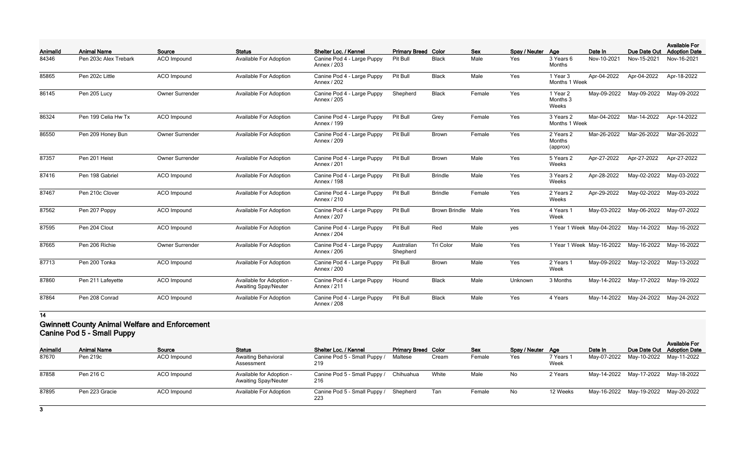| Animalld | <b>Animal Name</b>    | Source                 | <b>Status</b>                                           | Shelter Loc. / Kennel                     | <b>Primary Breed Color</b> |                           | <b>Sex</b> | Spay / Neuter Age |                                 | Date In                   | Due Date Out            | <b>Available For</b><br><b>Adoption Date</b> |
|----------|-----------------------|------------------------|---------------------------------------------------------|-------------------------------------------|----------------------------|---------------------------|------------|-------------------|---------------------------------|---------------------------|-------------------------|----------------------------------------------|
| 84346    | Pen 203c Alex Trebark | ACO Impound            | <b>Available For Adoption</b>                           | Canine Pod 4 - Large Puppy<br>Annex / 203 | Pit Bull                   | <b>Black</b>              | Male       | Yes               | 3 Years 6<br>Months             | Nov-10-2021               | Nov-15-2021             | Nov-16-2021                                  |
| 85865    | Pen 202c Little       | ACO Impound            | <b>Available For Adoption</b>                           | Canine Pod 4 - Large Puppy<br>Annex / 202 | Pit Bull                   | <b>Black</b>              | Male       | Yes               | 1 Year 3<br>Months 1 Week       | Apr-04-2022               | Apr-04-2022             | Apr-18-2022                                  |
| 86145    | Pen 205 Lucy          | <b>Owner Surrender</b> | <b>Available For Adoption</b>                           | Canine Pod 4 - Large Puppy<br>Annex / 205 | Shepherd                   | <b>Black</b>              | Female     | Yes               | 1 Year 2<br>Months 3<br>Weeks   | May-09-2022               | May-09-2022             | May-09-2022                                  |
| 86324    | Pen 199 Celia Hw Tx   | <b>ACO</b> Impound     | <b>Available For Adoption</b>                           | Canine Pod 4 - Large Puppy<br>Annex / 199 | Pit Bull                   | Grey                      | Female     | Yes               | 3 Years 2<br>Months 1 Week      | Mar-04-2022               | Mar-14-2022             | Apr-14-2022                                  |
| 86550    | Pen 209 Honey Bun     | Owner Surrender        | <b>Available For Adoption</b>                           | Canine Pod 4 - Large Puppy<br>Annex / 209 | Pit Bull                   | <b>Brown</b>              | Female     | Yes               | 2 Years 2<br>Months<br>(approx) | Mar-26-2022               | Mar-26-2022             | Mar-26-2022                                  |
| 87357    | Pen 201 Heist         | Owner Surrender        | <b>Available For Adoption</b>                           | Canine Pod 4 - Large Puppy<br>Annex / 201 | Pit Bull                   | <b>Brown</b>              | Male       | Yes               | 5 Years 2<br>Weeks              | Apr-27-2022               | Apr-27-2022             | Apr-27-2022                                  |
| 87416    | Pen 198 Gabriel       | <b>ACO</b> Impound     | <b>Available For Adoption</b>                           | Canine Pod 4 - Large Puppy<br>Annex / 198 | Pit Bull                   | <b>Brindle</b>            | Male       | Yes               | 3 Years 2<br>Weeks              | Apr-28-2022               | May-02-2022             | May-03-2022                                  |
| 87467    | Pen 210c Clover       | ACO Impound            | <b>Available For Adoption</b>                           | Canine Pod 4 - Large Puppy<br>Annex / 210 | Pit Bull                   | <b>Brindle</b>            | Female     | Yes               | 2 Years 2<br>Weeks              | Apr-29-2022               | May-02-2022             | May-03-2022                                  |
| 87562    | Pen 207 Poppy         | ACO Impound            | <b>Available For Adoption</b>                           | Canine Pod 4 - Large Puppy<br>Annex / 207 | Pit Bull                   | <b>Brown Brindle Male</b> |            | Yes               | 4 Years 1<br>Week               | May-03-2022               | May-06-2022             | May-07-2022                                  |
| 87595    | Pen 204 Clout         | ACO Impound            | <b>Available For Adoption</b>                           | Canine Pod 4 - Large Puppy<br>Annex / 204 | Pit Bull                   | Red                       | Male       | yes               |                                 | 1 Year 1 Week May-04-2022 | May-14-2022             | May-16-2022                                  |
| 87665    | Pen 206 Richie        | Owner Surrender        | <b>Available For Adoption</b>                           | Canine Pod 4 - Large Puppy<br>Annex / 206 | Australian<br>Shepherd     | Tri Color                 | Male       | Yes               |                                 | 1 Year 1 Week May-16-2022 | May-16-2022             | May-16-2022                                  |
| 87713    | Pen 200 Tonka         | ACO Impound            | <b>Available For Adoption</b>                           | Canine Pod 4 - Large Puppy<br>Annex / 200 | Pit Bull                   | <b>Brown</b>              | Male       | Yes               | 2 Years 1<br>Week               | May-09-2022               | May-12-2022             | May-13-2022                                  |
| 87860    | Pen 211 Lafeyette     | ACO Impound            | Available for Adoption -<br><b>Awaiting Spay/Neuter</b> | Canine Pod 4 - Large Puppy<br>Annex / 211 | Hound                      | <b>Black</b>              | Male       | Unknown           | 3 Months                        |                           | May-14-2022 May-17-2022 | May-19-2022                                  |
| 87864    | Pen 208 Conrad        | ACO Impound            | <b>Available For Adoption</b>                           | Canine Pod 4 - Large Puppy<br>Annex / 208 | Pit Bull                   | <b>Black</b>              | Male       | Yes               | 4 Years                         | May-14-2022               | May-24-2022             | May-24-2022                                  |

## **Gwinnett County Animal Welfare and Enforcement Canine Pod 5 - Small Puppy**

| <b>AnimalId</b> | .<br><b>Animal Name</b> | Source      | <b>Status</b>                                           | <b>Shelter Loc. / Kennel</b>                 | <b>Primary Breed Color</b> |       | <b>Sex</b> | Spay / Neuter Age |                   | Date In |                                     | <b>Available For</b><br>Due Date Out Adoption Date |
|-----------------|-------------------------|-------------|---------------------------------------------------------|----------------------------------------------|----------------------------|-------|------------|-------------------|-------------------|---------|-------------------------------------|----------------------------------------------------|
| 87670           | Pen 219 <sub>c</sub>    | ACO Impound | <b>Awaiting Behavioral</b><br>Assessment                | Canine Pod 5 - Small Puppy /<br>219          | Maltese                    | Cream | Female     | Yes               | 7 Years 1<br>Week |         | May-07-2022 May-10-2022 May-11-2022 |                                                    |
| 87858           | Pen 216 C               | ACO Impound | Available for Adoption -<br><b>Awaiting Spay/Neuter</b> | Canine Pod 5 - Small Puppy /<br>216          | Chihuahua                  | White | Male       | No                | 2 Years           |         | May-14-2022 May-17-2022 May-18-2022 |                                                    |
| 87895           | Pen 223 Gracie          | ACO Impound | <b>Available For Adoption</b>                           | Canine Pod 5 - Small Puppy / Shepherd<br>223 |                            | Tan   | Female     | No                | 12 Weeks          |         | May-16-2022 May-19-2022 May-20-2022 |                                                    |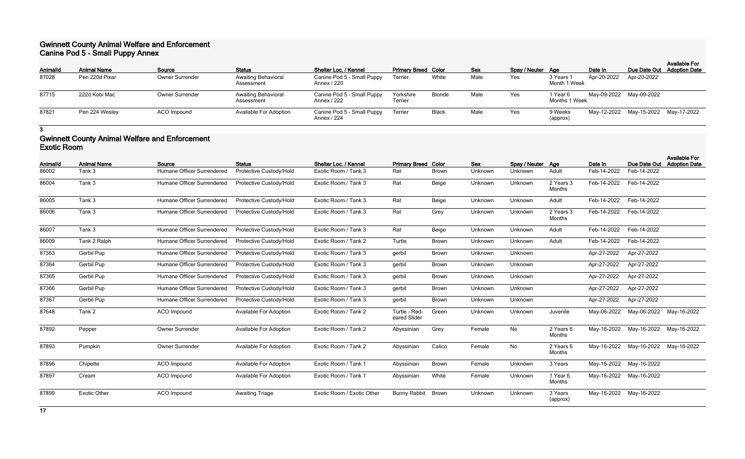### **Gwinnett County Animal Welfare and Enforcement Canine Pod 5 - Small Puppy Annex**

| <b>AnimalId</b> | .<br><b>Animal Name</b> | Source                 | <b>Status</b>                            | Shelter Loc. / Kennel                     | <b>Primary Breed Color</b> |              | <b>Sex</b> | Spay / Neuter Age |                           | Date In                 | Due Date Out Adoption Date          | <b>Available For</b> |
|-----------------|-------------------------|------------------------|------------------------------------------|-------------------------------------------|----------------------------|--------------|------------|-------------------|---------------------------|-------------------------|-------------------------------------|----------------------|
| 87028           | Pen 220d Pixar          | Owner Surrender        | <b>Awaiting Behavioral</b><br>Assessment | Canine Pod 5 - Small Puppy<br>Annex / 220 | Terrier                    | White        | Male       | Yes               | 3 Years 1<br>Month 1 Week | Apr-20-2022             | Apr-20-2022                         |                      |
| 87715           | 222d Kobi Mac           | <b>Owner Surrender</b> | <b>Awaiting Behavioral</b><br>Assessment | Canine Pod 5 - Small Puppy<br>Annex / 222 | Yorkshire<br>Terrier       | Blonde       | Male       | Yes               | l Year 6<br>Months 1 Week | May-09-2022 May-09-2022 |                                     |                      |
| 87821           | Pen 224 Wesley          | ACO Impound            | <b>Available For Adoption</b>            | Canine Pod 5 - Small Puppy<br>Annex / 224 | Terrier                    | <b>Black</b> | Male       | Yes               | 9 Weeks<br>(approx)       |                         | May-12-2022 May-15-2022 May-17-2022 |                      |

**3**

## **Gwinnett County Animal Welfare and Enforcement Exotic Room**

| <b>AnimalId</b> | <b>Animal Name</b>  | Source                     | <b>Status</b>                 | Shelter Loc. / Kennel      | <b>Primary Breed Color</b>    |              | <b>Sex</b> | Spay / Neuter | Age                 | Date In     | Due Date Out            | <b>Available For</b><br><b>Adoption Date</b> |
|-----------------|---------------------|----------------------------|-------------------------------|----------------------------|-------------------------------|--------------|------------|---------------|---------------------|-------------|-------------------------|----------------------------------------------|
| 86002           | Tank 3              | Humane Officer Surrendered | Protective Custody/Hold       | Exotic Room / Tank 3       | Rat                           | <b>Brown</b> | Unknown    | Unknown       | Adult               | Feb-14-2022 | Feb-14-2022             |                                              |
| 86004           | Tank 3              | Humane Officer Surrendered | Protective Custody/Hold       | Exotic Room / Tank 3       | Rat                           | Beige        | Unknown    | Unknown       | 2 Years 3<br>Months | Feb-14-2022 | Feb-14-2022             |                                              |
| 86005           | Tank 3              | Humane Officer Surrendered | Protective Custody/Hold       | Exotic Room / Tank 3       | Rat                           | Beige        | Unknown    | Unknown       | Adult               | Feb-14-2022 | Feb-14-2022             |                                              |
| 86006           | Tank 3              | Humane Officer Surrendered | Protective Custody/Hold       | Exotic Room / Tank 3       | Rat                           | Grey         | Unknown    | Unknown       | 2 Years 3<br>Months | Feb-14-2022 | Feb-14-2022             |                                              |
| 86007           | Tank 3              | Humane Officer Surrendered | Protective Custody/Hold       | Exotic Room / Tank 3       | Rat                           | Beige        | Unknown    | Unknown       | Adult               | Feb-14-2022 | Feb-14-2022             |                                              |
| 86009           | Tank 2 Ralph        | Humane Officer Surrendered | Protective Custody/Hold       | Exotic Room / Tank 2       | Turtle                        | <b>Brown</b> | Unknown    | Unknown       | Adult               | Feb-14-2022 | Feb-14-2022             |                                              |
| 87363           | Gerbil Pup          | Humane Officer Surrendered | Protective Custody/Hold       | Exotic Room / Tank 3       | gerbil                        | <b>Brown</b> | Unknown    | Unknown       |                     | Apr-27-2022 | Apr-27-2022             |                                              |
| 87364           | Gerbil Pup          | Humane Officer Surrendered | Protective Custody/Hold       | Exotic Room / Tank 3       | gerbil                        | <b>Brown</b> | Unknown    | Unknown       |                     | Apr-27-2022 | Apr-27-2022             |                                              |
| 87365           | Gerbil Pup          | Humane Officer Surrendered | Protective Custody/Hold       | Exotic Room / Tank 3       | gerbil                        | <b>Brown</b> | Unknown    | Unknown       |                     | Apr-27-2022 | Apr-27-2022             |                                              |
| 87366           | Gerbil Pup          | Humane Officer Surrendered | Protective Custody/Hold       | Exotic Room / Tank 3       | gerbil                        | <b>Brown</b> | Unknown    | Unknown       |                     | Apr-27-2022 | Apr-27-2022             |                                              |
| 87367           | Gerbil Pup          | Humane Officer Surrendered | Protective Custody/Hold       | Exotic Room / Tank 3       | gerbil                        | <b>Brown</b> | Unknown    | Unknown       |                     | Apr-27-2022 | Apr-27-2022             |                                              |
| 87648           | Tank 2              | ACO Impound                | <b>Available For Adoption</b> | Exotic Room / Tank 2       | Turtle - Red-<br>eared Slider | Green        | Unknown    | Unknown       | Juvenile            | May-06-2022 | May-06-2022             | May-16-2022                                  |
| 87892           | Pepper              | <b>Owner Surrender</b>     | <b>Available For Adoption</b> | Exotic Room / Tank 2       | Abyssinian                    | Grey         | Female     | No            | 2 Years 6<br>Months | May-16-2022 | May-16-2022             | May-16-2022                                  |
| 87893           | Pumpkin             | Owner Surrender            | <b>Available For Adoption</b> | Exotic Room / Tank 2       | Abyssinian                    | Calico       | Female     | No            | 2 Years 6<br>Months |             | May-16-2022 May-16-2022 | May-16-2022                                  |
| 87896           | Chipette            | ACO Impound                | <b>Available For Adoption</b> | Exotic Room / Tank 1       | Abyssinian                    | Brown        | Female     | Unknown       | 3 Years             | May-16-2022 | May-16-2022             |                                              |
| 87897           | Cream               | ACO Impound                | <b>Available For Adoption</b> | Exotic Room / Tank 1       | Abyssinian                    | White        | Female     | Unknown       | 1 Year 6<br>Months  |             | May-16-2022 May-16-2022 |                                              |
| 87899           | <b>Exotic Other</b> | <b>ACO</b> Impound         | <b>Awaiting Triage</b>        | Exotic Room / Exotic Other | <b>Bunny Rabbit</b>           | <b>Brown</b> | Unknown    | Unknown       | 3 Years<br>(approx) | May-16-2022 | May-16-2022             |                                              |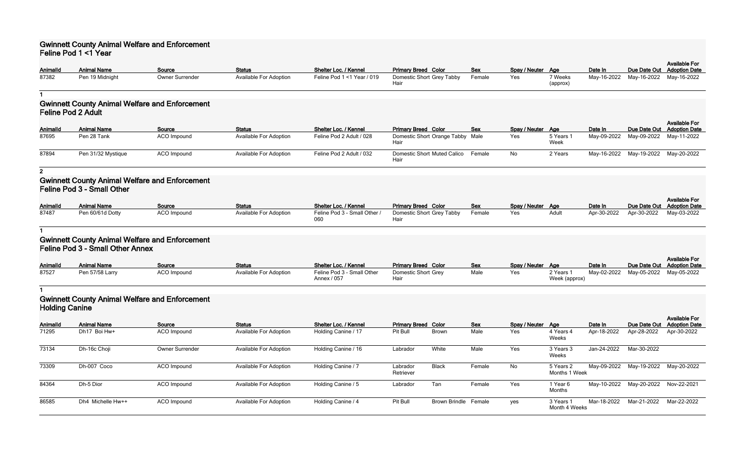### **Gwinnett County Animal Welfare and Enforcement Feline Pod 1 <1 Year**

| <b>AnimalId</b> | <b>Animal Name</b> | Source                 | <b>Status</b>          | Shelter Loc. / Kennel      | <b>Primary Breed Color</b> | <b>Sex</b> | Spay / Neuter Age |          | Date In                 | Due Date Out |
|-----------------|--------------------|------------------------|------------------------|----------------------------|----------------------------|------------|-------------------|----------|-------------------------|--------------|
| 87382           | Pen 19 Midnight    | <b>Owner Surrender</b> | Available For Adoption | Feline Pod 1 <1 Year / 019 | Domestic Short Grey Tabby  | Female     | Yes               | 7 Weeks  | May-16-2022 May-16-2022 |              |
|                 |                    |                        |                        |                            |                            |            |                   | (approx) |                         |              |

| Color      | Sex    | Spay / Neuter Age |                     | Date In     | Due Date Out Adoption Date | <b>Available For</b> |
|------------|--------|-------------------|---------------------|-------------|----------------------------|----------------------|
| Grey Tabby | Female | Yes               | 7 Weeks<br>(approx) | May-16-2022 | Mav-16-2022                | Mav-16-2022          |

**1**

### **Gwinnett County Animal Welfare and Enforcement Feline Pod 2 Adult**

| AnimalId | <b>Animal Name</b> | Source      | <b>Status</b>                 | Shelter Loc. / Kennel    | <b>Primary Breed Color</b>                 | Sex    | Spay / Neuter Age |                 | Date In |                                     | <b>Available For</b><br>Due Date Out Adoption Date |
|----------|--------------------|-------------|-------------------------------|--------------------------|--------------------------------------------|--------|-------------------|-----------------|---------|-------------------------------------|----------------------------------------------------|
| 87695    | Pen 28 Tank        | ACO Impound | <b>Available For Adoption</b> | Feline Pod 2 Adult / 028 | Domestic Short Orange Tabby Male<br>Hair   |        | Yes               | 5 Years<br>Week |         | May-09-2022 May-09-2022 May-11-2022 |                                                    |
| 87894    | Pen 31/32 Mystique | ACO Impound | <b>Available For Adoption</b> | Feline Pod 2 Adult / 032 | <b>Domestic Short Muted Calico</b><br>Hair | Female | No                | 2 Years         |         | May-16-2022 May-19-2022 May-20-2022 |                                                    |

**2**

### **Gwinnett County Animal Welfare and Enforcement Feline Pod 3 - Small Other**

|                 |                    |             |                               |                              |                            |            |                   |       |         |                                     | <b>Available For</b> |
|-----------------|--------------------|-------------|-------------------------------|------------------------------|----------------------------|------------|-------------------|-------|---------|-------------------------------------|----------------------|
| <b>AnimalId</b> | <b>Animal Name</b> | Source      | <b>Status</b>                 | Shelter Loc. / Kennel        | <b>Primary Breed Color</b> | <b>Sex</b> | Spay / Neuter Age |       | Date In | Due Date Out Adoption Date          |                      |
| 87487           | Pen 60/61d Dotty   | ACO Impound | <b>Available For Adoption</b> | Feline Pod 3 - Small Other / | Domestic Short Grey Tabby  | Female     | Yes               | Adult |         | Apr-30-2022 Apr-30-2022 May-03-2022 |                      |
|                 |                    |             |                               |                              |                            |            |                   |       |         |                                     |                      |

**1**

### **Gwinnett County Animal Welfare and Enforcement Feline Pod 3 - Small Other Annex**

| <b>AnimalId</b> | <b>Animal Name</b> | Source      | <b>Status</b>                 | Shelter Loc. / Kennel      | <b>Primary Breed Color</b> | <b>Sex</b> | Spay / Neuter Age |               | Date In     | Due Date Out |
|-----------------|--------------------|-------------|-------------------------------|----------------------------|----------------------------|------------|-------------------|---------------|-------------|--------------|
| 87527           | Pen 57/58 Larry    | ACO Impound | <b>Available For Adoption</b> | Feline Pod 3 - Small Other | Domestic Short Grey        | Male       | Yes               | 2 Years 1     | May-02-2022 | May-05-2022  |
|                 |                    |             |                               | Annex / 057                | Hair                       |            |                   | Week (approx) |             |              |

| Color | Sex  | Spay / Neuter | Age                        | Date In     | Due Date Out | <b>Available For</b><br><b>Adoption Date</b> |
|-------|------|---------------|----------------------------|-------------|--------------|----------------------------------------------|
| Grev  | Male | Yes           | 2 Years 1<br>Week (approx) | May-02-2022 | Mav-05-2022  | Mav-05-2022                                  |

#### **1**

# **Gwinnett County Animal Welfare and Enforcement Holding Canine**

| . <i>.</i>      |                    |                        |                               |                       |                            |                      |            |                   |                            |             |                                     |                                              |
|-----------------|--------------------|------------------------|-------------------------------|-----------------------|----------------------------|----------------------|------------|-------------------|----------------------------|-------------|-------------------------------------|----------------------------------------------|
| <b>Animalld</b> | <b>Animal Name</b> | Source                 | <b>Status</b>                 | Shelter Loc. / Kennel | <b>Primary Breed Color</b> |                      | <b>Sex</b> | Spay / Neuter Age |                            | Date In     | Due Date Out                        | <b>Available For</b><br><b>Adoption Date</b> |
| 71295           | Dh17 Boi Hw+       | ACO Impound            | <b>Available For Adoption</b> | Holding Canine / 17   | Pit Bull                   | Brown                | Male       | Yes               | 4 Years 4<br>Weeks         | Apr-18-2022 | Apr-28-2022                         | Apr-30-2022                                  |
| 73134           | Dh-16c Choji       | <b>Owner Surrender</b> | <b>Available For Adoption</b> | Holding Canine / 16   | Labrador                   | White                | Male       | Yes               | 3 Years 3<br>Weeks         | Jan-24-2022 | Mar-30-2022                         |                                              |
| 73309           | Dh-007 Coco        | ACO Impound            | <b>Available For Adoption</b> | Holding Canine / 7    | Labrador<br>Retriever      | <b>Black</b>         | Female     | No                | 5 Years 2<br>Months 1 Week |             | May-09-2022 May-19-2022 May-20-2022 |                                              |
| 84364           | Dh-5 Dior          | ACO Impound            | <b>Available For Adoption</b> | Holding Canine / 5    | Labrador                   | Tan                  | Female     | Yes               | 1 Year 6<br>Months         | May-10-2022 | May-20-2022                         | Nov-22-2021                                  |
| 86585           | Dh4 Michelle Hw++  | ACO Impound            | <b>Available For Adoption</b> | Holding Canine / 4    | Pit Bull                   | Brown Brindle Female |            | yes               | 3 Years 1<br>Month 4 Weeks | Mar-18-2022 | Mar-21-2022                         | Mar-22-2022                                  |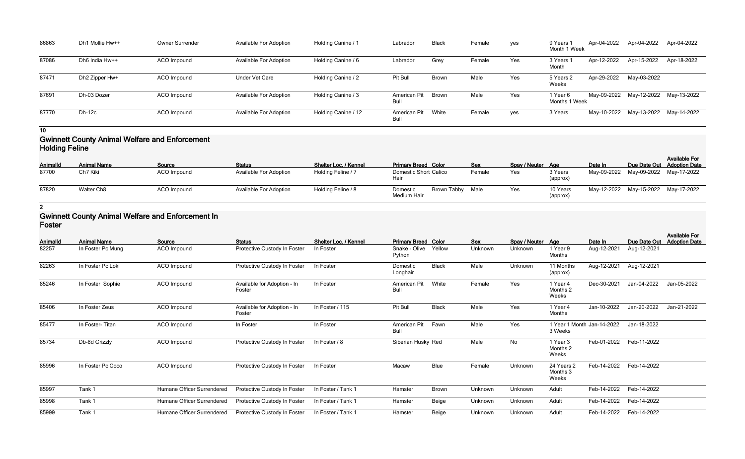| 86863 | Dh1 Mollie Hw++ | <b>Owner Surrender</b> | <b>Available For Adoption</b> | Holding Canine / 1  | Labrador             | <b>Black</b> | Female | ves | 9 Years 1<br>Month 1 Week | Apr-04-2022 | Apr-04-2022                         | Apr-04-2022 |
|-------|-----------------|------------------------|-------------------------------|---------------------|----------------------|--------------|--------|-----|---------------------------|-------------|-------------------------------------|-------------|
| 87086 | Dh6 India Hw++  | ACO Impound            | <b>Available For Adoption</b> | Holding Canine / 6  | Labrador             | Grey         | Female | Yes | 3 Years<br>Month          | Apr-12-2022 | Apr-15-2022                         | Apr-18-2022 |
| 87471 | Dh2 Zipper Hw+  | ACO Impound            | Under Vet Care                | Holding Canine / 2  | Pit Bull             | <b>Brown</b> | Male   | Yes | 5 Years 2<br>Weeks        | Apr-29-2022 | May-03-2022                         |             |
| 87691 | Dh-03 Dozer     | ACO Impound            | Available For Adoption        | Holding Canine / 3  | American Pit<br>Bull | <b>Brown</b> | Male   | Yes | Year 6<br>Months 1 Week   |             | May-09-2022 May-12-2022 May-13-2022 |             |
| 87770 | $Dh-12c$        | ACO Impound            | <b>Available For Adoption</b> | Holding Canine / 12 | American Pit<br>Bull | White        | Female | yes | 3 Years                   |             | May-10-2022 May-13-2022 May-14-2022 |             |

### **Gwinnett County Animal Welfare and Enforcement Holding Feline**

| Animalld | <b>Animal Name</b> | Source             | <b>Status</b>          | Shelter Loc. / Kennel | <b>Primary Breed Color</b>             | Sex    | Spay / Neuter Age |                      | Date In |                                     | <b>Available For</b><br>Due Date Out Adoption Date |
|----------|--------------------|--------------------|------------------------|-----------------------|----------------------------------------|--------|-------------------|----------------------|---------|-------------------------------------|----------------------------------------------------|
| 87700    | Ch7 Kiki           | ACO Impound        | Available For Adoption | Holding Feline / 7    | <b>Domestic Short Calico</b><br>Hair   | Female | Yes               | 3 Years<br>(approx)  |         | May-09-2022 May-09-2022 May-17-2022 |                                                    |
| 87820    | Walter Ch8         | <b>ACO</b> Impound | Available For Adoption | Holding Feline / 8    | Brown Tabby<br>Domestic<br>Medium Hair | Male   | Yes               | 10 Years<br>(approx) |         | May-12-2022 May-15-2022 May-17-2022 |                                                    |

**2**

#### **Gwinnett County Animal Welfare and Enforcement In Foster**

| Animalld | <b>Animal Name</b> | Source                     | <b>Status</b>                         | Shelter Loc. / Kennel | <b>Primary Breed Color</b>  |              | <b>Sex</b> | Spay / Neuter | Age                             | Date In                    | Due Date Out | <b>Available For</b><br><b>Adoption Date</b> |
|----------|--------------------|----------------------------|---------------------------------------|-----------------------|-----------------------------|--------------|------------|---------------|---------------------------------|----------------------------|--------------|----------------------------------------------|
| 82257    | In Foster Pc Mung  | ACO Impound                | Protective Custody In Foster          | In Foster             | Snake - Olive<br>Python     | Yellow       | Unknown    | Unknown       | 1 Year 9<br>Months              | Aug-12-2021                | Aug-12-2021  |                                              |
| 82263    | In Foster Pc Loki  | ACO Impound                | Protective Custody In Foster          | In Foster             | Domestic<br>Longhair        | <b>Black</b> | Male       | Unknown       | 11 Months<br>(approx)           | Aug-12-2021                | Aug-12-2021  |                                              |
| 85246    | In Foster Sophie   | ACO Impound                | Available for Adoption - In<br>Foster | In Foster             | American Pit<br><b>Bull</b> | White        | Female     | Yes           | 1 Year 4<br>Months 2<br>Weeks   | Dec-30-2021                | Jan-04-2022  | Jan-05-2022                                  |
| 85406    | In Foster Zeus     | ACO Impound                | Available for Adoption - In<br>Foster | In Foster / 115       | Pit Bull                    | <b>Black</b> | Male       | Yes           | 1 Year 4<br>Months              | Jan-10-2022                | Jan-20-2022  | Jan-21-2022                                  |
| 85477    | In Foster-Titan    | ACO Impound                | In Foster                             | In Foster             | American Pit<br><b>Bull</b> | Fawn         | Male       | Yes           | 3 Weeks                         | 1 Year 1 Month Jan-14-2022 | Jan-18-2022  |                                              |
| 85734    | Db-8d Grizzly      | ACO Impound                | Protective Custody In Foster          | In Foster / 8         | Siberian Husky Red          |              | Male       | No            | 1 Year 3<br>Months 2<br>Weeks   | Feb-01-2022                | Feb-11-2022  |                                              |
| 85996    | In Foster Pc Coco  | ACO Impound                | Protective Custody In Foster          | In Foster             | Macaw                       | <b>Blue</b>  | Female     | Unknown       | 24 Years 2<br>Months 3<br>Weeks | Feb-14-2022                | Feb-14-2022  |                                              |
| 85997    | Tank 1             | Humane Officer Surrendered | Protective Custody In Foster          | In Foster / Tank 1    | Hamster                     | Brown        | Unknown    | Unknown       | Adult                           | Feb-14-2022                | Feb-14-2022  |                                              |
| 85998    | Tank 1             | Humane Officer Surrendered | Protective Custody In Foster          | In Foster / Tank 1    | Hamster                     | Beige        | Unknown    | Unknown       | Adult                           | Feb-14-2022                | Feb-14-2022  |                                              |
| 85999    | Tank 1             | Humane Officer Surrendered | Protective Custody In Foster          | In Foster / Tank      | Hamster                     | Beige        | Unknown    | Unknown       | Adult                           | Feb-14-2022                | Feb-14-2022  |                                              |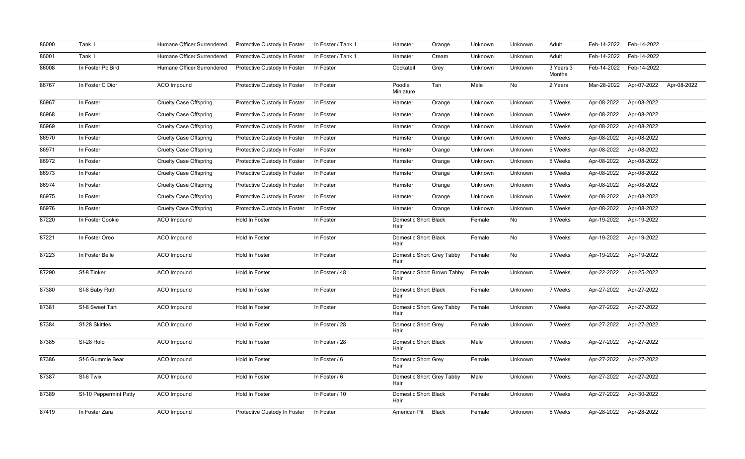| 86000 | Tank 1                 | Humane Officer Surrendered    | Protective Custody In Foster | In Foster / Tank 1 | Hamster                             | Orange                     | Unknown | Unknown | Adult               | Feb-14-2022 | Feb-14-2022 |             |
|-------|------------------------|-------------------------------|------------------------------|--------------------|-------------------------------------|----------------------------|---------|---------|---------------------|-------------|-------------|-------------|
| 86001 | Tank 1                 | Humane Officer Surrendered    | Protective Custody In Foster | In Foster / Tank 1 | Hamster                             | Cream                      | Unknown | Unknown | Adult               | Feb-14-2022 | Feb-14-2022 |             |
| 86008 | In Foster Pc Bird      | Humane Officer Surrendered    | Protective Custody In Foster | In Foster          | Cockateil                           | Grey                       | Unknown | Unknown | 3 Years 3<br>Months | Feb-14-2022 | Feb-14-2022 |             |
| 86767 | In Foster C Dior       | ACO Impound                   | Protective Custody In Foster | In Foster          | Poodle<br>Miniature                 | Tan                        | Male    | No      | 2 Years             | Mar-28-2022 | Apr-07-2022 | Apr-08-2022 |
| 86967 | In Foster              | <b>Cruelty Case Offspring</b> | Protective Custody In Foster | In Foster          | Hamster                             | Orange                     | Unknown | Unknown | 5 Weeks             | Apr-08-2022 | Apr-08-2022 |             |
| 86968 | In Foster              | <b>Cruelty Case Offspring</b> | Protective Custody In Foster | In Foster          | Hamster                             | Orange                     | Unknown | Unknown | 5 Weeks             | Apr-08-2022 | Apr-08-2022 |             |
| 86969 | In Foster              | <b>Cruelty Case Offspring</b> | Protective Custody In Foster | In Foster          | Hamster                             | Orange                     | Unknown | Unknown | 5 Weeks             | Apr-08-2022 | Apr-08-2022 |             |
| 86970 | In Foster              | <b>Cruelty Case Offspring</b> | Protective Custody In Foster | In Foster          | Hamster                             | Orange                     | Unknown | Unknown | 5 Weeks             | Apr-08-2022 | Apr-08-2022 |             |
| 86971 | In Foster              | <b>Cruelty Case Offspring</b> | Protective Custody In Foster | In Foster          | Hamster                             | Orange                     | Unknown | Unknown | 5 Weeks             | Apr-08-2022 | Apr-08-2022 |             |
| 86972 | In Foster              | <b>Cruelty Case Offspring</b> | Protective Custody In Foster | In Foster          | Hamster                             | Orange                     | Unknown | Unknown | 5 Weeks             | Apr-08-2022 | Apr-08-2022 |             |
| 86973 | In Foster              | <b>Cruelty Case Offspring</b> | Protective Custody In Foster | In Foster          | Hamster                             | Orange                     | Unknown | Unknown | 5 Weeks             | Apr-08-2022 | Apr-08-2022 |             |
| 86974 | In Foster              | <b>Cruelty Case Offspring</b> | Protective Custody In Foster | In Foster          | Hamster                             | Orange                     | Unknown | Unknown | 5 Weeks             | Apr-08-2022 | Apr-08-2022 |             |
| 86975 | In Foster              | <b>Cruelty Case Offspring</b> | Protective Custody In Foster | In Foster          | Hamster                             | Orange                     | Unknown | Unknown | 5 Weeks             | Apr-08-2022 | Apr-08-2022 |             |
| 86976 | In Foster              | <b>Cruelty Case Offspring</b> | Protective Custody In Foster | In Foster          | Hamster                             | Orange                     | Unknown | Unknown | 5 Weeks             | Apr-08-2022 | Apr-08-2022 |             |
| 87220 | In Foster Cookie       | <b>ACO</b> Impound            | Hold In Foster               | In Foster          | <b>Domestic Short Black</b><br>Hair |                            | Female  | No      | 9 Weeks             | Apr-19-2022 | Apr-19-2022 |             |
| 87221 | In Foster Oreo         | ACO Impound                   | Hold In Foster               | In Foster          | <b>Domestic Short Black</b><br>Hair |                            | Female  | No      | 9 Weeks             | Apr-19-2022 | Apr-19-2022 |             |
| 87223 | In Foster Belle        | ACO Impound                   | Hold In Foster               | In Foster          | Hair                                | Domestic Short Grey Tabby  | Female  | No      | 9 Weeks             | Apr-19-2022 | Apr-19-2022 |             |
| 87290 | Sf-8 Tinker            | <b>ACO</b> Impound            | Hold In Foster               | In Foster / 48     | Hair                                | Domestic Short Brown Tabby | Female  | Unknown | 6 Weeks             | Apr-22-2022 | Apr-25-2022 |             |
| 87380 | Sf-8 Baby Ruth         | ACO Impound                   | Hold In Foster               | In Foster          | <b>Domestic Short Black</b><br>Hair |                            | Female  | Unknown | 7 Weeks             | Apr-27-2022 | Apr-27-2022 |             |
| 87381 | Sf-8 Sweet Tart        | ACO Impound                   | Hold In Foster               | In Foster          | Hair                                | Domestic Short Grey Tabby  | Female  | Unknown | 7 Weeks             | Apr-27-2022 | Apr-27-2022 |             |
| 87384 | Sf-28 Skittles         | ACO Impound                   | Hold In Foster               | In Foster / 28     | <b>Domestic Short Grey</b><br>Hair  |                            | Female  | Unknown | 7 Weeks             | Apr-27-2022 | Apr-27-2022 |             |
| 87385 | Sf-28 Rolo             | ACO Impound                   | Hold In Foster               | In Foster / 28     | <b>Domestic Short Black</b><br>Hair |                            | Male    | Unknown | 7 Weeks             | Apr-27-2022 | Apr-27-2022 |             |
| 87386 | Sf-6 Gummie Bear       | ACO Impound                   | Hold In Foster               | In Foster $/ 6$    | <b>Domestic Short Grey</b><br>Hair  |                            | Female  | Unknown | 7 Weeks             | Apr-27-2022 | Apr-27-2022 |             |
| 87387 | Sf-6 Twix              | ACO Impound                   | Hold In Foster               | In Foster $/ 6$    | Hair                                | Domestic Short Grey Tabby  | Male    | Unknown | 7 Weeks             | Apr-27-2022 | Apr-27-2022 |             |
| 87389 | Sf-10 Peppermint Patty | ACO Impound                   | Hold In Foster               | In Foster / 10     | <b>Domestic Short Black</b><br>Hair |                            | Female  | Unknown | 7 Weeks             | Apr-27-2022 | Apr-30-2022 |             |
| 87419 | In Foster Zara         | ACO Impound                   | Protective Custody In Foster | In Foster          | American Pit                        | <b>Black</b>               | Female  | Unknown | 5 Weeks             | Apr-28-2022 | Apr-28-2022 |             |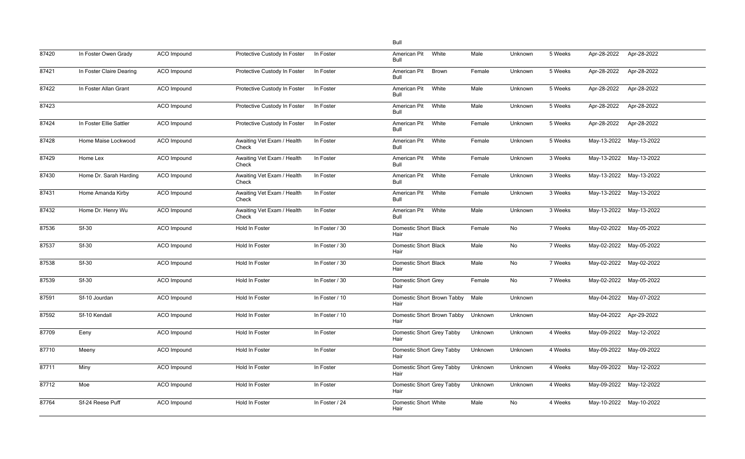|       |                          |                    |                                     |                | Bull                                 |         |         |         |                         |                         |
|-------|--------------------------|--------------------|-------------------------------------|----------------|--------------------------------------|---------|---------|---------|-------------------------|-------------------------|
| 87420 | In Foster Owen Grady     | ACO Impound        | Protective Custody In Foster        | In Foster      | American Pit<br>White<br>Bull        | Male    | Unknown | 5 Weeks | Apr-28-2022             | Apr-28-2022             |
| 87421 | In Foster Claire Dearing | ACO Impound        | Protective Custody In Foster        | In Foster      | <b>American Pit</b><br>Brown<br>Bull | Female  | Unknown | 5 Weeks | Apr-28-2022             | Apr-28-2022             |
| 87422 | In Foster Allan Grant    | <b>ACO</b> Impound | Protective Custody In Foster        | In Foster      | White<br>American Pit<br>Bull        | Male    | Unknown | 5 Weeks | Apr-28-2022             | Apr-28-2022             |
| 87423 |                          | <b>ACO</b> Impound | Protective Custody In Foster        | In Foster      | American Pit<br>White<br>Bull        | Male    | Unknown | 5 Weeks | Apr-28-2022             | Apr-28-2022             |
| 87424 | In Foster Ellie Sattler  | <b>ACO</b> Impound | Protective Custody In Foster        | In Foster      | American Pit<br>White<br>Bull        | Female  | Unknown | 5 Weeks | Apr-28-2022             | Apr-28-2022             |
| 87428 | Home Maise Lockwood      | ACO Impound        | Awaiting Vet Exam / Health<br>Check | In Foster      | American Pit<br>White<br>Bull        | Female  | Unknown | 5 Weeks | May-13-2022             | May-13-2022             |
| 87429 | Home Lex                 | ACO Impound        | Awaiting Vet Exam / Health<br>Check | In Foster      | American Pit<br>White<br>Bull        | Female  | Unknown | 3 Weeks | May-13-2022             | May-13-2022             |
| 87430 | Home Dr. Sarah Harding   | <b>ACO</b> Impound | Awaiting Vet Exam / Health<br>Check | In Foster      | American Pit<br>White<br>Bull        | Female  | Unknown | 3 Weeks |                         | May-13-2022 May-13-2022 |
| 87431 | Home Amanda Kirby        | <b>ACO</b> Impound | Awaiting Vet Exam / Health<br>Check | In Foster      | White<br>American Pit<br>Bull        | Female  | Unknown | 3 Weeks | May-13-2022             | May-13-2022             |
| 87432 | Home Dr. Henry Wu        | ACO Impound        | Awaiting Vet Exam / Health<br>Check | In Foster      | American Pit<br>White<br>Bull        | Male    | Unknown | 3 Weeks | May-13-2022             | May-13-2022             |
| 87536 | <b>Sf-30</b>             | ACO Impound        | Hold In Foster                      | In Foster / 30 | <b>Domestic Short Black</b><br>Hair  | Female  | No      | 7 Weeks | May-02-2022             | May-05-2022             |
| 87537 | Sf-30                    | ACO Impound        | Hold In Foster                      | In Foster / 30 | <b>Domestic Short Black</b><br>Hair  | Male    | No      | 7 Weeks | May-02-2022             | May-05-2022             |
| 87538 | <b>Sf-30</b>             | ACO Impound        | Hold In Foster                      | In Foster / 30 | <b>Domestic Short Black</b><br>Hair  | Male    | No      | 7 Weeks | May-02-2022             | May-02-2022             |
| 87539 | <b>Sf-30</b>             | ACO Impound        | Hold In Foster                      | In Foster / 30 | <b>Domestic Short Grey</b><br>Hair   | Female  | No      | 7 Weeks |                         | May-02-2022 May-05-2022 |
| 87591 | Sf-10 Jourdan            | ACO Impound        | Hold In Foster                      | In Foster / 10 | Domestic Short Brown Tabby<br>Hair   | Male    | Unknown |         |                         | May-04-2022 May-07-2022 |
| 87592 | Sf-10 Kendall            | ACO Impound        | Hold In Foster                      | In Foster / 10 | Domestic Short Brown Tabby<br>Hair   | Unknown | Unknown |         | May-04-2022 Apr-29-2022 |                         |
| 87709 | Eeny                     | ACO Impound        | Hold In Foster                      | In Foster      | Domestic Short Grey Tabby<br>Hair    | Unknown | Unknown | 4 Weeks |                         | May-09-2022 May-12-2022 |
| 87710 | Meeny                    | ACO Impound        | Hold In Foster                      | In Foster      | Domestic Short Grey Tabby<br>Hair    | Unknown | Unknown | 4 Weeks |                         | May-09-2022 May-09-2022 |
| 87711 | Miny                     | ACO Impound        | Hold In Foster                      | In Foster      | Domestic Short Grey Tabby<br>Hair    | Unknown | Unknown | 4 Weeks | May-09-2022             | May-12-2022             |
| 87712 | Moe                      | ACO Impound        | Hold In Foster                      | In Foster      | Domestic Short Grey Tabby<br>Hair    | Unknown | Unknown | 4 Weeks | May-09-2022             | May-12-2022             |
| 87764 | Sf-24 Reese Puff         | ACO Impound        | Hold In Foster                      | In Foster / 24 | <b>Domestic Short White</b><br>Hair  | Male    | No      | 4 Weeks |                         | May-10-2022 May-10-2022 |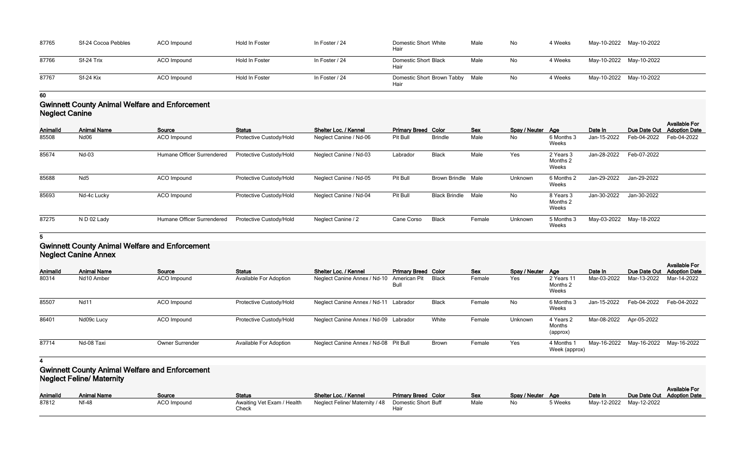| 87765 | Sf-24 Cocoa Pebbles | <b>ACO</b> Impound | Hold In Foster | In Foster / 24 | Domestic Short White<br>Hair       | Male | No | 4 Weeks | May-10-2022 May-10-2022 |  |
|-------|---------------------|--------------------|----------------|----------------|------------------------------------|------|----|---------|-------------------------|--|
| 87766 | Sf-24 Trix          | ACO Impound        | Hold In Foster | In Foster / 24 | Domestic Short Black<br>Hair       | Male | No | 4 Weeks | May-10-2022 May-10-2022 |  |
| 87767 | Sf-24 Kix           | ACO Impound        | Hold In Foster | In Foster / 24 | Domestic Short Brown Tabby<br>Hair | Male | No | 4 Weeks | May-10-2022 May-10-2022 |  |

### **Gwinnett County Animal Welfare and Enforcement Neglect Canine**

| <b>AnimalId</b> | <b>Animal Name</b>    | Source                     | <b>Status</b>           | Shelter Loc. / Kennel  | <b>Primary Breed Color</b> |                           | Sex    | Spay / Neuter Age |                                | Date In                 | Due Date Out | <b>Available For</b><br><b>Adoption Date</b> |
|-----------------|-----------------------|----------------------------|-------------------------|------------------------|----------------------------|---------------------------|--------|-------------------|--------------------------------|-------------------------|--------------|----------------------------------------------|
| 85508           | Nd06                  | ACO Impound                | Protective Custody/Hold | Neglect Canine / Nd-06 | Pit Bull                   | <b>Brindle</b>            | Male   | No                | 6 Months 3<br>Weeks            | Jan-15-2022             | Feb-04-2022  | Feb-04-2022                                  |
| 85674           | Nd-03                 | Humane Officer Surrendered | Protective Custody/Hold | Neglect Canine / Nd-03 | Labrador                   | <b>Black</b>              | Male   | Yes               | 2 Years 3<br>Months 2<br>Weeks | Jan-28-2022             | Feb-07-2022  |                                              |
| 85688           | Nd <sub>5</sub>       | ACO Impound                | Protective Custody/Hold | Neglect Canine / Nd-05 | Pit Bull                   | <b>Brown Brindle Male</b> |        | Unknown           | 6 Months 2<br>Weeks            | Jan-29-2022             | Jan-29-2022  |                                              |
| 85693           | Nd-4c Lucky           | <b>ACO</b> Impound         | Protective Custody/Hold | Neglect Canine / Nd-04 | Pit Bull                   | <b>Black Brindle</b>      | Male   | No                | 8 Years 3<br>Months 2<br>Weeks | Jan-30-2022             | Jan-30-2022  |                                              |
| 87275           | ND <sub>02</sub> Lady | Humane Officer Surrendered | Protective Custody/Hold | Neglect Canine / 2     | Cane Corso                 | Black                     | Female | Unknown           | 5 Months 3<br>Weeks            | May-03-2022 May-18-2022 |              |                                              |

### **5**

### **Gwinnett County Animal Welfare and Enforcement Neglect Canine Annex**

| <b>AnimalId</b> | <b>Animal Name</b> | Source                 | <b>Status</b>                 | Shelter Loc. / Kennel                     | <b>Primary Breed Color</b> |              | <b>Sex</b> | Spay / Neuter Age |                                 | Date In                 | Due Date Out                        | <b>Available For</b><br><b>Adoption Date</b> |
|-----------------|--------------------|------------------------|-------------------------------|-------------------------------------------|----------------------------|--------------|------------|-------------------|---------------------------------|-------------------------|-------------------------------------|----------------------------------------------|
| 80314           | Nd10 Amber         | ACO Impound            | <b>Available For Adoption</b> | Neglect Canine Annex / Nd-10 American Pit | Bull                       | Black        | Female     | Yes               | 2 Years 11<br>Months 2<br>Weeks | Mar-03-2022             | Mar-13-2022                         | Mar-14-2022                                  |
| 85507           | <b>Nd11</b>        | <b>ACO</b> Impound     | Protective Custody/Hold       | Neglect Canine Annex / Nd-11 Labrador     |                            | <b>Black</b> | Female     | No                | 6 Months 3<br>Weeks             | Jan-15-2022             | Feb-04-2022                         | Feb-04-2022                                  |
| 86401           | Nd09c Lucy         | <b>ACO</b> Impound     | Protective Custody/Hold       | Neglect Canine Annex / Nd-09 Labrador     |                            | White        | Female     | Unknown           | 4 Years 2<br>Months<br>(approx) | Mar-08-2022 Apr-05-2022 |                                     |                                              |
| 87714           | Nd-08 Taxi         | <b>Owner Surrender</b> | <b>Available For Adoption</b> | Neglect Canine Annex / Nd-08 Pit Bull     |                            | <b>Brown</b> | Female     | Yes               | 4 Months<br>Week (approx)       |                         | May-16-2022 May-16-2022 May-16-2022 |                                              |

#### **4**

### **Gwinnett County Animal Welfare and Enforcement Neglect Feline/ Maternity**

| <b>AnimalId</b> | <b>Animal Name</b> | Source             | <b>Status</b>                       | Shelter Loc. / Kennel                               | <b>Primary Breed Color</b> | <b>Sex</b> | Spay / Neuter Age |         | Date In     | Due Date Out |
|-----------------|--------------------|--------------------|-------------------------------------|-----------------------------------------------------|----------------------------|------------|-------------------|---------|-------------|--------------|
| 87812           | $Nf-48$            | <b>ACO Impound</b> | Awaiting Vet Exam / Health<br>Check | Neglect Feline/ Maternity / 48  Domestic Short Buff |                            | Male       | No                | 5 Weeks | May-12-2022 | May-12-2022  |

| Color | Sex  | Spay / Neuter | Aae     | Date In     | Due Date Out Adoption Date | <b>Available For</b> |
|-------|------|---------------|---------|-------------|----------------------------|----------------------|
| Buff  | Male | No.           | 5 Weeks | May-12-2022 | May-12-2022                |                      |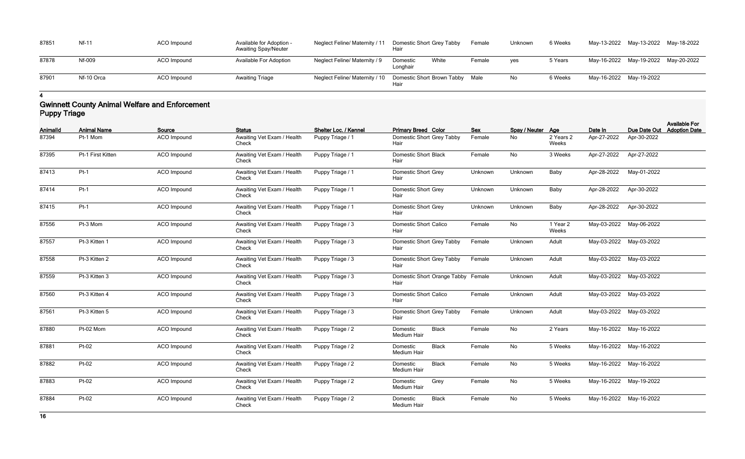| 87851 | <b>Nf-11</b> | ACO Impound | Available for Adoption -<br><b>Awaiting Spay/Neuter</b> | Neglect Feline/ Maternity / 11                            | Domestic Short Grey Tabby<br>Hair | Female | Unknown | 6 Weeks |                         | May-13-2022 May-13-2022 May-18-2022 |  |
|-------|--------------|-------------|---------------------------------------------------------|-----------------------------------------------------------|-----------------------------------|--------|---------|---------|-------------------------|-------------------------------------|--|
| 87878 | Nf-009       | ACO Impound | <b>Available For Adoption</b>                           | Neglect Feline/ Maternity / 9                             | White<br>Domestic<br>Longhair     | Female | ves     | 5 Years |                         | May-16-2022 May-19-2022 May-20-2022 |  |
| 87901 | Nf-10 Orca   | ACO Impound | <b>Awaiting Triage</b>                                  | Neglect Feline/ Maternity / 10 Domestic Short Brown Tabby | Hair                              | Male   | No      | 6 Weeks | May-16-2022 May-19-2022 |                                     |  |

### **Gwinnett County Animal Welfare and Enforcement Puppy Triage**

| AnimalId | <b>Animal Name</b> | Source      | <b>Status</b>                       | Shelter Loc. / Kennel | <b>Primary Breed Color</b>                 | Sex     | Spay / Neuter Age |                    | Date In     | Due Date Out            | <b>Available For</b><br><b>Adoption Date</b> |
|----------|--------------------|-------------|-------------------------------------|-----------------------|--------------------------------------------|---------|-------------------|--------------------|-------------|-------------------------|----------------------------------------------|
| 87394    | Pt-1 Mom           | ACO Impound | Awaiting Vet Exam / Health<br>Check | Puppy Triage / 1      | Domestic Short Grey Tabby<br>Hair          | Female  | No                | 2 Years 2<br>Weeks | Apr-27-2022 | Apr-30-2022             |                                              |
| 87395    | Pt-1 First Kitten  | ACO Impound | Awaiting Vet Exam / Health<br>Check | Puppy Triage / 1      | <b>Domestic Short Black</b><br>Hair        | Female  | No                | 3 Weeks            | Apr-27-2022 | Apr-27-2022             |                                              |
| 87413    | $Pt-1$             | ACO Impound | Awaiting Vet Exam / Health<br>Check | Puppy Triage / 1      | <b>Domestic Short Grey</b><br>Hair         | Unknown | Unknown           | Baby               | Apr-28-2022 | May-01-2022             |                                              |
| 87414    | $Pt-1$             | ACO Impound | Awaiting Vet Exam / Health<br>Check | Puppy Triage / 1      | Domestic Short Grey<br>Hair                | Unknown | Unknown           | Baby               | Apr-28-2022 | Apr-30-2022             |                                              |
| 87415    | $Pt-1$             | ACO Impound | Awaiting Vet Exam / Health<br>Check | Puppy Triage / 1      | Domestic Short Grey<br>Hair                | Unknown | Unknown           | Baby               | Apr-28-2022 | Apr-30-2022             |                                              |
| 87556    | Pt-3 Mom           | ACO Impound | Awaiting Vet Exam / Health<br>Check | Puppy Triage / 3      | <b>Domestic Short Calico</b><br>Hair       | Female  | No                | 1 Year 2<br>Weeks  |             | May-03-2022 May-06-2022 |                                              |
| 87557    | Pt-3 Kitten 1      | ACO Impound | Awaiting Vet Exam / Health<br>Check | Puppy Triage / 3      | Domestic Short Grey Tabby<br>Hair          | Female  | Unknown           | Adult              |             | May-03-2022 May-03-2022 |                                              |
| 87558    | Pt-3 Kitten 2      | ACO Impound | Awaiting Vet Exam / Health<br>Check | Puppy Triage / 3      | Domestic Short Grey Tabby<br>Hair          | Female  | Unknown           | Adult              |             | May-03-2022 May-03-2022 |                                              |
| 87559    | Pt-3 Kitten 3      | ACO Impound | Awaiting Vet Exam / Health<br>Check | Puppy Triage / 3      | Domestic Short Orange Tabby Female<br>Hair |         | Unknown           | Adult              |             | May-03-2022 May-03-2022 |                                              |
| 87560    | Pt-3 Kitten 4      | ACO Impound | Awaiting Vet Exam / Health<br>Check | Puppy Triage / 3      | <b>Domestic Short Calico</b><br>Hair       | Female  | Unknown           | Adult              |             | May-03-2022 May-03-2022 |                                              |
| 87561    | Pt-3 Kitten 5      | ACO Impound | Awaiting Vet Exam / Health<br>Check | Puppy Triage / 3      | Domestic Short Grey Tabby<br>Hair          | Female  | Unknown           | Adult              |             | May-03-2022 May-03-2022 |                                              |
| 87880    | Pt-02 Mom          | ACO Impound | Awaiting Vet Exam / Health<br>Check | Puppy Triage / 2      | <b>Black</b><br>Domestic<br>Medium Hair    | Female  | No                | 2 Years            |             | May-16-2022 May-16-2022 |                                              |
| 87881    | Pt-02              | ACO Impound | Awaiting Vet Exam / Health<br>Check | Puppy Triage / 2      | <b>Black</b><br>Domestic<br>Medium Hair    | Female  | No                | 5 Weeks            |             | May-16-2022 May-16-2022 |                                              |
| 87882    | Pt-02              | ACO Impound | Awaiting Vet Exam / Health<br>Check | Puppy Triage / 2      | Domestic<br><b>Black</b><br>Medium Hair    | Female  | No                | 5 Weeks            |             | May-16-2022 May-16-2022 |                                              |
| 87883    | Pt-02              | ACO Impound | Awaiting Vet Exam / Health<br>Check | Puppy Triage / 2      | Grey<br>Domestic<br>Medium Hair            | Female  | No                | 5 Weeks            |             | May-16-2022 May-19-2022 |                                              |
| 87884    | Pt-02              | ACO Impound | Awaiting Vet Exam / Health<br>Check | Puppy Triage / 2      | <b>Black</b><br>Domestic<br>Medium Hair    | Female  | No                | 5 Weeks            |             | May-16-2022 May-16-2022 |                                              |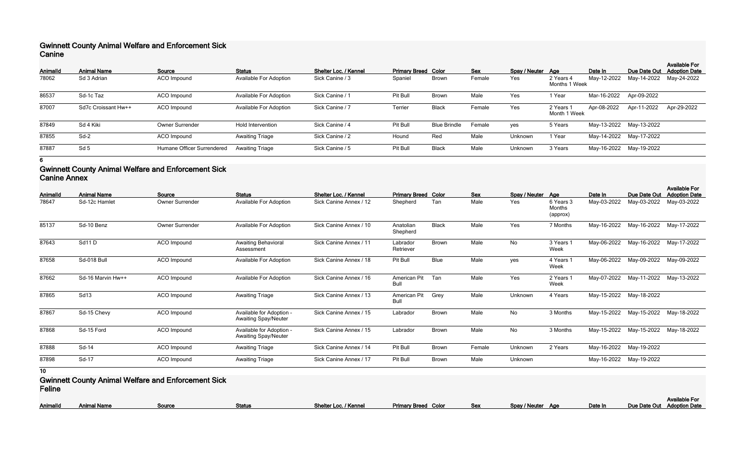### **Gwinnett County Animal Welfare and Enforcement Sick Canine**

| <b>AnimalId</b> | <b>Animal Name</b>  | Source                     | <b>Status</b>                 | Shelter Loc. / Kennel | <b>Primary Breed Color</b> |                     | <b>Sex</b> | Spay / Neuter Age |                            | Date In     | Due Date Out            | <b>Available For</b><br><b>Adoption Date</b> |
|-----------------|---------------------|----------------------------|-------------------------------|-----------------------|----------------------------|---------------------|------------|-------------------|----------------------------|-------------|-------------------------|----------------------------------------------|
| 78062           | Sd 3 Adrian         | ACO Impound                | <b>Available For Adoption</b> | Sick Canine / 3       | Spaniel                    | <b>Brown</b>        | Female     | Yes               | 2 Years 4<br>Months 1 Week | May-12-2022 | May-14-2022             | May-24-2022                                  |
| 86537           | Sd-1c Taz           | ACO Impound                | <b>Available For Adoption</b> | Sick Canine / 1       | Pit Bull                   | <b>Brown</b>        | Male       | Yes               | 1 Year                     | Mar-16-2022 | Apr-09-2022             |                                              |
| 87007           | Sd7c Croissant Hw++ | ACO Impound                | <b>Available For Adoption</b> | Sick Canine / 7       | Terrier                    | <b>Black</b>        | Female     | Yes               | 2 Years 1<br>Month 1 Week  | Apr-08-2022 | Apr-11-2022             | Apr-29-2022                                  |
| 87849           | Sd 4 Kiki           | <b>Owner Surrender</b>     | Hold Intervention             | Sick Canine / 4       | Pit Bull                   | <b>Blue Brindle</b> | Female     | yes               | 5 Years                    |             | May-13-2022 May-13-2022 |                                              |
| 87855           | Sd-2                | <b>ACO</b> Impound         | <b>Awaiting Triage</b>        | Sick Canine / 2       | Hound                      | Red                 | Male       | Unknown           | 1 Year                     |             | May-14-2022 May-17-2022 |                                              |
| 87887           | Sd <sub>5</sub>     | Humane Officer Surrendered | <b>Awaiting Triage</b>        | Sick Canine / 5       | Pit Bull                   | <b>Black</b>        | Male       | Unknown           | 3 Years                    |             | May-16-2022 May-19-2022 |                                              |

**6**

### **Gwinnett County Animal Welfare and Enforcement Sick Canine Annex**

| Animalld        | <b>Animal Name</b>                                         | Source          | <b>Status</b>                                           | Shelter Loc. / Kennel  | <b>Primary Breed Color</b> |              | <b>Sex</b> | Spay / Neuter Age |                                 | Date In     | Due Date Out            | <b>Available For</b><br><b>Adoption Date</b> |
|-----------------|------------------------------------------------------------|-----------------|---------------------------------------------------------|------------------------|----------------------------|--------------|------------|-------------------|---------------------------------|-------------|-------------------------|----------------------------------------------|
| 78647           | Sd-12c Hamlet                                              | Owner Surrender | <b>Available For Adoption</b>                           | Sick Canine Annex / 12 | Shepherd                   | Tan          | Male       | Yes               | 6 Years 3<br>Months<br>(approx) | May-03-2022 | May-03-2022             | May-03-2022                                  |
| 85137           | Sd-10 Benz                                                 | Owner Surrender | <b>Available For Adoption</b>                           | Sick Canine Annex / 10 | Anatolian<br>Shepherd      | <b>Black</b> | Male       | Yes               | 7 Months                        | May-16-2022 | May-16-2022             | May-17-2022                                  |
| 87643           | Sd11D                                                      | ACO Impound     | Awaiting Behavioral<br>Assessment                       | Sick Canine Annex / 11 | Labrador<br>Retriever      | Brown        | Male       | No                | 3 Years 1<br>Week               | May-06-2022 | May-16-2022             | May-17-2022                                  |
| 87658           | Sd-018 Bull                                                | ACO Impound     | <b>Available For Adoption</b>                           | Sick Canine Annex / 18 | Pit Bull                   | Blue         | Male       | yes               | 4 Years 1<br>Week               | May-06-2022 | May-09-2022             | May-09-2022                                  |
| 87662           | Sd-16 Marvin Hw++                                          | ACO Impound     | <b>Available For Adoption</b>                           | Sick Canine Annex / 16 | American Pit<br>Bull       | Tan          | Male       | Yes               | 2 Years 1<br>Week               | May-07-2022 | May-11-2022             | May-13-2022                                  |
| 87865           | Sd13                                                       | ACO Impound     | <b>Awaiting Triage</b>                                  | Sick Canine Annex / 13 | American Pit<br>Bull       | Grey         | Male       | Unknown           | 4 Years                         | May-15-2022 | May-18-2022             |                                              |
| 87867           | Sd-15 Chevy                                                | ACO Impound     | Available for Adoption -<br><b>Awaiting Spay/Neuter</b> | Sick Canine Annex / 15 | Labrador                   | Brown        | Male       | No                | 3 Months                        |             | May-15-2022 May-15-2022 | May-18-2022                                  |
| 87868           | Sd-15 Ford                                                 | ACO Impound     | Available for Adoption -<br><b>Awaiting Spay/Neuter</b> | Sick Canine Annex / 15 | Labrador                   | Brown        | Male       | No                | 3 Months                        | May-15-2022 | May-15-2022             | May-18-2022                                  |
| 87888           | Sd-14                                                      | ACO Impound     | <b>Awaiting Triage</b>                                  | Sick Canine Annex / 14 | Pit Bull                   | Brown        | Female     | Unknown           | 2 Years                         | May-16-2022 | May-19-2022             |                                              |
| 87898           | Sd-17                                                      | ACO Impound     | <b>Awaiting Triage</b>                                  | Sick Canine Annex / 17 | Pit Bull                   | <b>Brown</b> | Male       | Unknown           |                                 | May-16-2022 | May-19-2022             |                                              |
| 10 <sub>1</sub> |                                                            |                 |                                                         |                        |                            |              |            |                   |                                 |             |                         |                                              |
|                 | <b>Gwinnett County Animal Welfare and Enforcement Sick</b> |                 |                                                         |                        |                            |              |            |                   |                                 |             |                         |                                              |

**Feline**

|          |                    |                 |               |                       |                            |            |                   |         | Available For              |  |
|----------|--------------------|-----------------|---------------|-----------------------|----------------------------|------------|-------------------|---------|----------------------------|--|
| Animalld | <b>Animal Name</b> | Source<br>suuvu | <b>Status</b> | Shelter Loc. / Kennel | <b>Primary Breed Color</b> | <u>Sex</u> | Spay / Neuter Age | Date In | Due Date Out Adoption Date |  |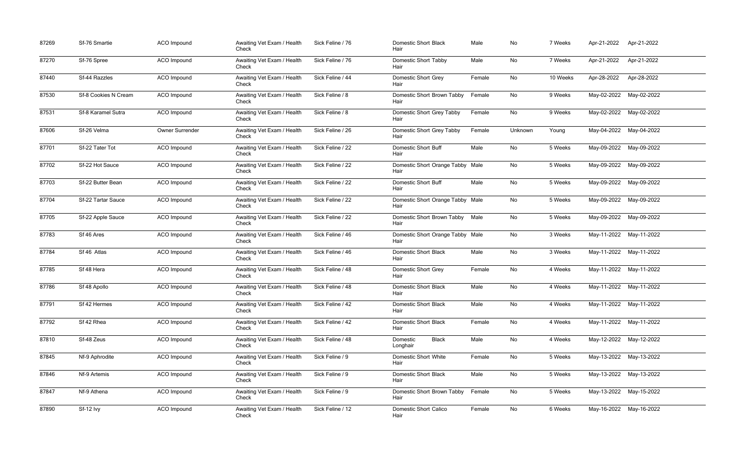| 87269 | Sf-76 Smartie        | ACO Impound     | Awaiting Vet Exam / Health<br>Check | Sick Feline / 76 | <b>Domestic Short Black</b><br>Hair      | Male   | No      | 7 Weeks  | Apr-21-2022 Apr-21-2022 |                         |
|-------|----------------------|-----------------|-------------------------------------|------------------|------------------------------------------|--------|---------|----------|-------------------------|-------------------------|
| 87270 | Sf-76 Spree          | ACO Impound     | Awaiting Vet Exam / Health<br>Check | Sick Feline / 76 | <b>Domestic Short Tabby</b><br>Hair      | Male   | No      | 7 Weeks  | Apr-21-2022             | Apr-21-2022             |
| 87440 | Sf-44 Razzles        | ACO Impound     | Awaiting Vet Exam / Health<br>Check | Sick Feline / 44 | <b>Domestic Short Grey</b><br>Hair       | Female | No      | 10 Weeks | Apr-28-2022             | Apr-28-2022             |
| 87530 | Sf-8 Cookies N Cream | ACO Impound     | Awaiting Vet Exam / Health<br>Check | Sick Feline / 8  | Domestic Short Brown Tabby<br>Hair       | Female | No      | 9 Weeks  |                         | May-02-2022 May-02-2022 |
| 87531 | Sf-8 Karamel Sutra   | ACO Impound     | Awaiting Vet Exam / Health<br>Check | Sick Feline / 8  | Domestic Short Grey Tabby<br>Hair        | Female | No      | 9 Weeks  |                         | May-02-2022 May-02-2022 |
| 87606 | Sf-26 Velma          | Owner Surrender | Awaiting Vet Exam / Health<br>Check | Sick Feline / 26 | Domestic Short Grey Tabby<br>Hair        | Female | Unknown | Young    |                         | May-04-2022 May-04-2022 |
| 87701 | Sf-22 Tater Tot      | ACO Impound     | Awaiting Vet Exam / Health<br>Check | Sick Feline / 22 | <b>Domestic Short Buff</b><br>Hair       | Male   | No      | 5 Weeks  |                         | May-09-2022 May-09-2022 |
| 87702 | Sf-22 Hot Sauce      | ACO Impound     | Awaiting Vet Exam / Health<br>Check | Sick Feline / 22 | Domestic Short Orange Tabby Male<br>Hair |        | No      | 5 Weeks  |                         | May-09-2022 May-09-2022 |
| 87703 | Sf-22 Butter Bean    | ACO Impound     | Awaiting Vet Exam / Health<br>Check | Sick Feline / 22 | <b>Domestic Short Buff</b><br>Hair       | Male   | No      | 5 Weeks  |                         | May-09-2022 May-09-2022 |
| 87704 | Sf-22 Tartar Sauce   | ACO Impound     | Awaiting Vet Exam / Health<br>Check | Sick Feline / 22 | Domestic Short Orange Tabby Male<br>Hair |        | No      | 5 Weeks  |                         | May-09-2022 May-09-2022 |
| 87705 | Sf-22 Apple Sauce    | ACO Impound     | Awaiting Vet Exam / Health<br>Check | Sick Feline / 22 | Domestic Short Brown Tabby<br>Hair       | Male   | No      | 5 Weeks  |                         | May-09-2022 May-09-2022 |
| 87783 | Sf 46 Ares           | ACO Impound     | Awaiting Vet Exam / Health<br>Check | Sick Feline / 46 | Domestic Short Orange Tabby Male<br>Hair |        | No      | 3 Weeks  |                         | May-11-2022 May-11-2022 |
| 87784 | Sf 46 Atlas          | ACO Impound     | Awaiting Vet Exam / Health<br>Check | Sick Feline / 46 | <b>Domestic Short Black</b><br>Hair      | Male   | No      | 3 Weeks  |                         | May-11-2022 May-11-2022 |
| 87785 | Sf 48 Hera           | ACO Impound     | Awaiting Vet Exam / Health<br>Check | Sick Feline / 48 | <b>Domestic Short Grey</b><br>Hair       | Female | No      | 4 Weeks  |                         | May-11-2022 May-11-2022 |
| 87786 | Sf 48 Apollo         | ACO Impound     | Awaiting Vet Exam / Health<br>Check | Sick Feline / 48 | <b>Domestic Short Black</b><br>Hair      | Male   | No      | 4 Weeks  |                         | May-11-2022 May-11-2022 |
| 87791 | Sf 42 Hermes         | ACO Impound     | Awaiting Vet Exam / Health<br>Check | Sick Feline / 42 | <b>Domestic Short Black</b><br>Hair      | Male   | No      | 4 Weeks  |                         | May-11-2022 May-11-2022 |
| 87792 | Sf 42 Rhea           | ACO Impound     | Awaiting Vet Exam / Health<br>Check | Sick Feline / 42 | <b>Domestic Short Black</b><br>Hair      | Female | No      | 4 Weeks  |                         | May-11-2022 May-11-2022 |
| 87810 | Sf-48 Zeus           | ACO Impound     | Awaiting Vet Exam / Health<br>Check | Sick Feline / 48 | <b>Black</b><br>Domestic<br>Longhair     | Male   | No      | 4 Weeks  |                         | May-12-2022 May-12-2022 |
| 87845 | Nf-9 Aphrodite       | ACO Impound     | Awaiting Vet Exam / Health<br>Check | Sick Feline / 9  | <b>Domestic Short White</b><br>Hair      | Female | No      | 5 Weeks  |                         | May-13-2022 May-13-2022 |
| 87846 | Nf-9 Artemis         | ACO Impound     | Awaiting Vet Exam / Health<br>Check | Sick Feline / 9  | <b>Domestic Short Black</b><br>Hair      | Male   | No      | 5 Weeks  |                         | May-13-2022 May-13-2022 |
| 87847 | Nf-9 Athena          | ACO Impound     | Awaiting Vet Exam / Health<br>Check | Sick Feline / 9  | Domestic Short Brown Tabby<br>Hair       | Female | No      | 5 Weeks  |                         | May-13-2022 May-15-2022 |
| 87890 | Sf-12 lvy            | ACO Impound     | Awaiting Vet Exam / Health<br>Check | Sick Feline / 12 | <b>Domestic Short Calico</b><br>Hair     | Female | No      | 6 Weeks  |                         | May-16-2022 May-16-2022 |